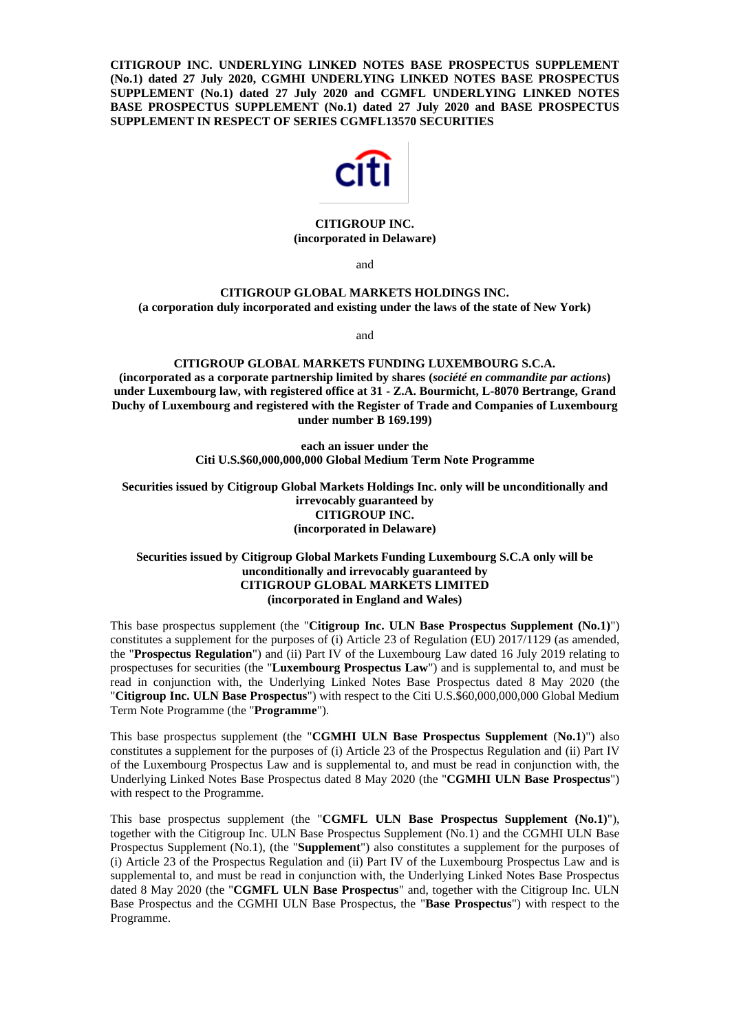**CITIGROUP INC. UNDERLYING LINKED NOTES BASE PROSPECTUS SUPPLEMENT (No.1) dated 27 July 2020, CGMHI UNDERLYING LINKED NOTES BASE PROSPECTUS SUPPLEMENT (No.1) dated 27 July 2020 and CGMFL UNDERLYING LINKED NOTES BASE PROSPECTUS SUPPLEMENT (No.1) dated 27 July 2020 and BASE PROSPECTUS SUPPLEMENT IN RESPECT OF SERIES CGMFL13570 SECURITIES**



# **CITIGROUP INC. (incorporated in Delaware)**

and

### **CITIGROUP GLOBAL MARKETS HOLDINGS INC. (a corporation duly incorporated and existing under the laws of the state of New York)**

and

## **CITIGROUP GLOBAL MARKETS FUNDING LUXEMBOURG S.C.A. (incorporated as a corporate partnership limited by shares (***société en commandite par actions***) under Luxembourg law, with registered office at 31 - Z.A. Bourmicht, L-8070 Bertrange, Grand Duchy of Luxembourg and registered with the Register of Trade and Companies of Luxembourg under number B 169.199)**

**each an issuer under the Citi U.S.\$60,000,000,000 Global Medium Term Note Programme**

**Securities issued by Citigroup Global Markets Holdings Inc. only will be unconditionally and irrevocably guaranteed by CITIGROUP INC. (incorporated in Delaware)**

## **Securities issued by Citigroup Global Markets Funding Luxembourg S.C.A only will be unconditionally and irrevocably guaranteed by CITIGROUP GLOBAL MARKETS LIMITED (incorporated in England and Wales)**

This base prospectus supplement (the "**Citigroup Inc. ULN Base Prospectus Supplement (No.1)**") constitutes a supplement for the purposes of (i) Article 23 of Regulation (EU) 2017/1129 (as amended, the "**Prospectus Regulation**") and (ii) Part IV of the Luxembourg Law dated 16 July 2019 relating to prospectuses for securities (the "**Luxembourg Prospectus Law**") and is supplemental to, and must be read in conjunction with, the Underlying Linked Notes Base Prospectus dated 8 May 2020 (the "**Citigroup Inc. ULN Base Prospectus**") with respect to the Citi U.S.\$60,000,000,000 Global Medium Term Note Programme (the "**Programme**").

This base prospectus supplement (the "**CGMHI ULN Base Prospectus Supplement** (**No.1**)") also constitutes a supplement for the purposes of (i) Article 23 of the Prospectus Regulation and (ii) Part IV of the Luxembourg Prospectus Law and is supplemental to, and must be read in conjunction with, the Underlying Linked Notes Base Prospectus dated 8 May 2020 (the "**CGMHI ULN Base Prospectus**") with respect to the Programme.

This base prospectus supplement (the "**CGMFL ULN Base Prospectus Supplement (No.1)**"), together with the Citigroup Inc. ULN Base Prospectus Supplement (No.1) and the CGMHI ULN Base Prospectus Supplement (No.1), (the "**Supplement**") also constitutes a supplement for the purposes of (i) Article 23 of the Prospectus Regulation and (ii) Part IV of the Luxembourg Prospectus Law and is supplemental to, and must be read in conjunction with, the Underlying Linked Notes Base Prospectus dated 8 May 2020 (the "**CGMFL ULN Base Prospectus**" and, together with the Citigroup Inc. ULN Base Prospectus and the CGMHI ULN Base Prospectus, the "**Base Prospectus**") with respect to the Programme.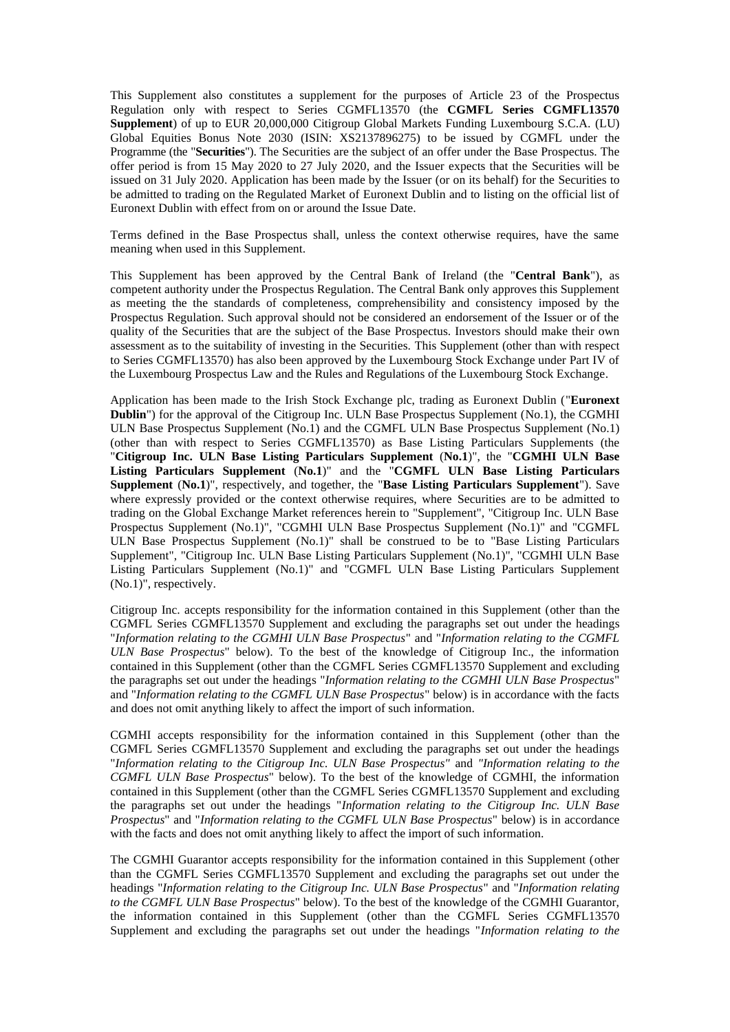This Supplement also constitutes a supplement for the purposes of Article 23 of the Prospectus Regulation only with respect to Series CGMFL13570 (the **CGMFL Series CGMFL13570 Supplement**) of up to EUR 20,000,000 Citigroup Global Markets Funding Luxembourg S.C.A. (LU) Global Equities Bonus Note 2030 (ISIN: XS2137896275) to be issued by CGMFL under the Programme (the "**Securities**"). The Securities are the subject of an offer under the Base Prospectus. The offer period is from 15 May 2020 to 27 July 2020, and the Issuer expects that the Securities will be issued on 31 July 2020. Application has been made by the Issuer (or on its behalf) for the Securities to be admitted to trading on the Regulated Market of Euronext Dublin and to listing on the official list of Euronext Dublin with effect from on or around the Issue Date.

Terms defined in the Base Prospectus shall, unless the context otherwise requires, have the same meaning when used in this Supplement.

This Supplement has been approved by the Central Bank of Ireland (the "**Central Bank**"), as competent authority under the Prospectus Regulation. The Central Bank only approves this Supplement as meeting the the standards of completeness, comprehensibility and consistency imposed by the Prospectus Regulation. Such approval should not be considered an endorsement of the Issuer or of the quality of the Securities that are the subject of the Base Prospectus. Investors should make their own assessment as to the suitability of investing in the Securities. This Supplement (other than with respect to Series CGMFL13570) has also been approved by the Luxembourg Stock Exchange under Part IV of the Luxembourg Prospectus Law and the Rules and Regulations of the Luxembourg Stock Exchange.

Application has been made to the Irish Stock Exchange plc, trading as Euronext Dublin ("**Euronext Dublin**") for the approval of the Citigroup Inc. ULN Base Prospectus Supplement (No.1), the CGMHI ULN Base Prospectus Supplement (No.1) and the CGMFL ULN Base Prospectus Supplement (No.1) (other than with respect to Series CGMFL13570) as Base Listing Particulars Supplements (the "**Citigroup Inc. ULN Base Listing Particulars Supplement** (**No.1**)", the "**CGMHI ULN Base Listing Particulars Supplement** (**No.1**)" and the "**CGMFL ULN Base Listing Particulars Supplement** (**No.1**)", respectively, and together, the "**Base Listing Particulars Supplement**"). Save where expressly provided or the context otherwise requires, where Securities are to be admitted to trading on the Global Exchange Market references herein to "Supplement", "Citigroup Inc. ULN Base Prospectus Supplement (No.1)", "CGMHI ULN Base Prospectus Supplement (No.1)" and "CGMFL ULN Base Prospectus Supplement (No.1)" shall be construed to be to "Base Listing Particulars Supplement", "Citigroup Inc. ULN Base Listing Particulars Supplement (No.1)", "CGMHI ULN Base Listing Particulars Supplement (No.1)" and "CGMFL ULN Base Listing Particulars Supplement (No.1)", respectively.

Citigroup Inc. accepts responsibility for the information contained in this Supplement (other than the CGMFL Series CGMFL13570 Supplement and excluding the paragraphs set out under the headings "*Information relating to the CGMHI ULN Base Prospectus*" and "*Information relating to the CGMFL ULN Base Prospectus*" below). To the best of the knowledge of Citigroup Inc., the information contained in this Supplement (other than the CGMFL Series CGMFL13570 Supplement and excluding the paragraphs set out under the headings "*Information relating to the CGMHI ULN Base Prospectus*" and "*Information relating to the CGMFL ULN Base Prospectus*" below) is in accordance with the facts and does not omit anything likely to affect the import of such information.

CGMHI accepts responsibility for the information contained in this Supplement (other than the CGMFL Series CGMFL13570 Supplement and excluding the paragraphs set out under the headings "*Information relating to the Citigroup Inc. ULN Base Prospectus"* and *"Information relating to the CGMFL ULN Base Prospectus*" below). To the best of the knowledge of CGMHI, the information contained in this Supplement (other than the CGMFL Series CGMFL13570 Supplement and excluding the paragraphs set out under the headings "*Information relating to the Citigroup Inc. ULN Base Prospectus*" and "*Information relating to the CGMFL ULN Base Prospectus*" below) is in accordance with the facts and does not omit anything likely to affect the import of such information.

The CGMHI Guarantor accepts responsibility for the information contained in this Supplement (other than the CGMFL Series CGMFL13570 Supplement and excluding the paragraphs set out under the headings "*Information relating to the Citigroup Inc. ULN Base Prospectus*" and "*Information relating to the CGMFL ULN Base Prospectus*" below). To the best of the knowledge of the CGMHI Guarantor, the information contained in this Supplement (other than the CGMFL Series CGMFL13570 Supplement and excluding the paragraphs set out under the headings "*Information relating to the*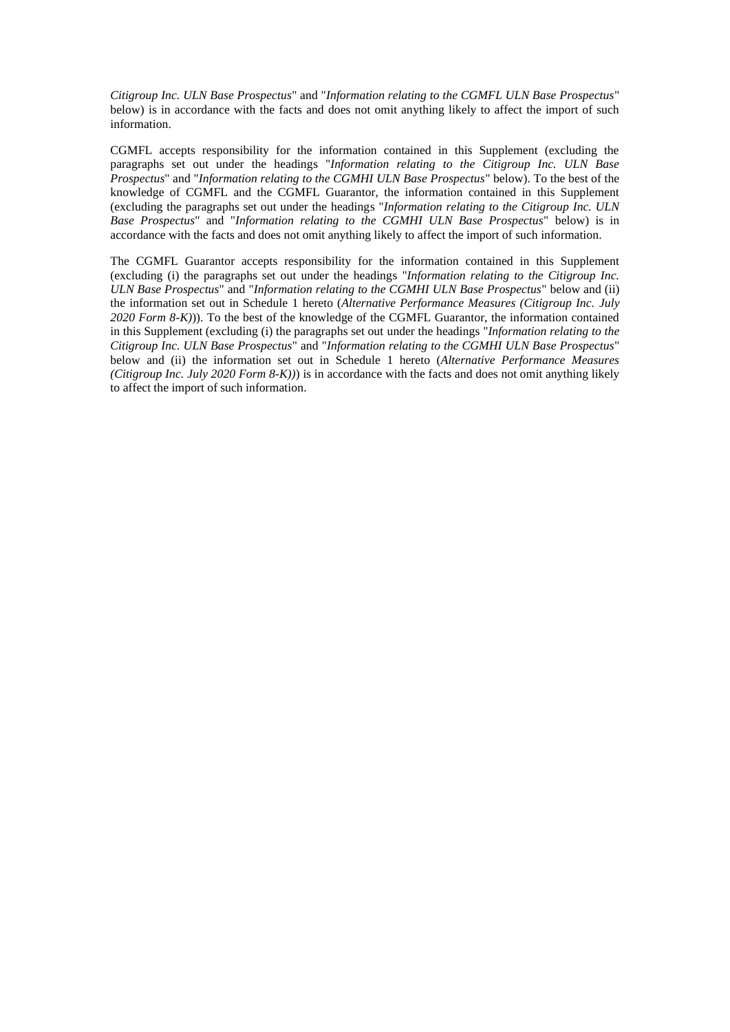*Citigroup Inc. ULN Base Prospectus*" and "*Information relating to the CGMFL ULN Base Prospectus*" below) is in accordance with the facts and does not omit anything likely to affect the import of such information.

CGMFL accepts responsibility for the information contained in this Supplement (excluding the paragraphs set out under the headings "*Information relating to the Citigroup Inc. ULN Base Prospectus*" and "*Information relating to the CGMHI ULN Base Prospectus*" below). To the best of the knowledge of CGMFL and the CGMFL Guarantor, the information contained in this Supplement (excluding the paragraphs set out under the headings "*Information relating to the Citigroup Inc. ULN Base Prospectus*" and "*Information relating to the CGMHI ULN Base Prospectus*" below) is in accordance with the facts and does not omit anything likely to affect the import of such information.

The CGMFL Guarantor accepts responsibility for the information contained in this Supplement (excluding (i) the paragraphs set out under the headings "*Information relating to the Citigroup Inc. ULN Base Prospectus*" and "*Information relating to the CGMHI ULN Base Prospectus*" below and (ii) the information set out in Schedule 1 hereto (*Alternative Performance Measures (Citigroup Inc. July 2020 Form 8-K)*)). To the best of the knowledge of the CGMFL Guarantor, the information contained in this Supplement (excluding (i) the paragraphs set out under the headings "*Information relating to the Citigroup Inc. ULN Base Prospectus*" and "*Information relating to the CGMHI ULN Base Prospectus*" below and (ii) the information set out in Schedule 1 hereto (*Alternative Performance Measures (Citigroup Inc. July 2020 Form 8-K))*) is in accordance with the facts and does not omit anything likely to affect the import of such information.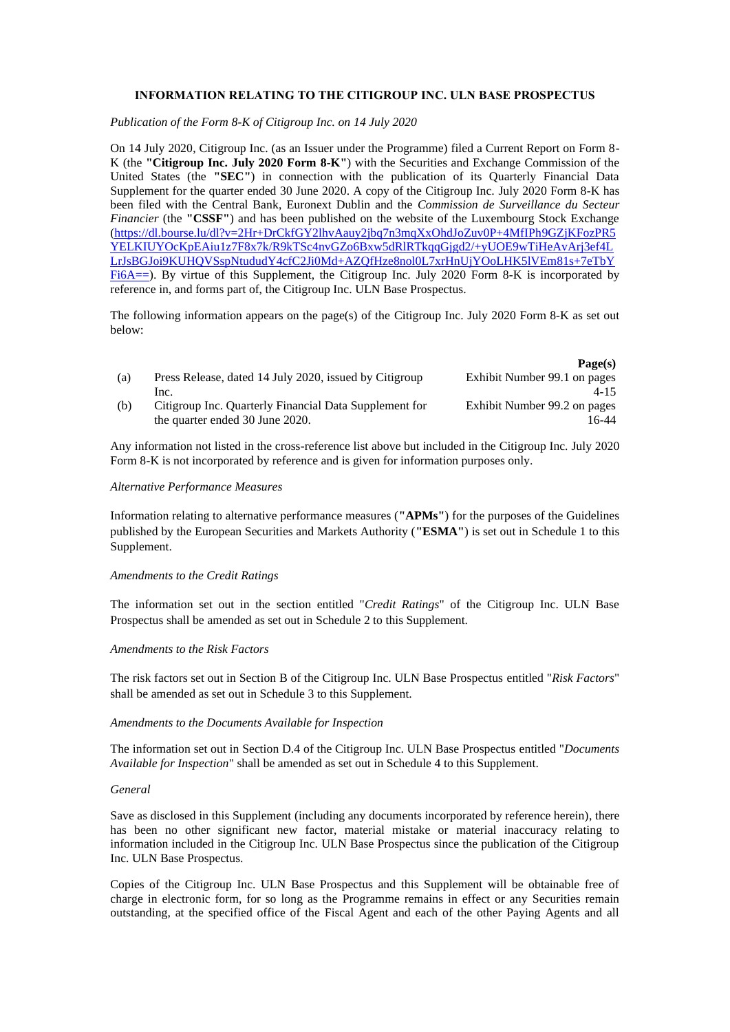# **INFORMATION RELATING TO THE CITIGROUP INC. ULN BASE PROSPECTUS**

*Publication of the Form 8-K of Citigroup Inc. on 14 July 2020*

On 14 July 2020, Citigroup Inc. (as an Issuer under the Programme) filed a Current Report on Form 8- K (the **"Citigroup Inc. July 2020 Form 8-K"**) with the Securities and Exchange Commission of the United States (the **"SEC"**) in connection with the publication of its Quarterly Financial Data Supplement for the quarter ended 30 June 2020. A copy of the Citigroup Inc. July 2020 Form 8-K has been filed with the Central Bank, Euronext Dublin and the *Commission de Surveillance du Secteur Financier* (the **"CSSF"**) and has been published on the website of the Luxembourg Stock Exchange [\(https://dl.bourse.lu/dl?v=2Hr+DrCkfGY2lhvAauy2jbq7n3mqXxOhdJoZuv0P+4MfIPh9GZjKFozPR5](https://dl.bourse.lu/dl?v=2Hr+DrCkfGY2lhvAauy2jbq7n3mqXxOhdJoZuv0P+4MfIPh9GZjKFozPR5YELKIUYOcKpEAiu1z7F8x7k/R9kTSc4nvGZo6Bxw5dRlRTkqqGjgd2/+yUOE9wTiHeAvArj3ef4LLrJsBGJoi9KUHQVSspNtududY4cfC2Ji0Md+AZQfHze8nol0L7xrHnUjYOoLHK5lVEm81s+7eTbYFi6A==) [YELKIUYOcKpEAiu1z7F8x7k/R9kTSc4nvGZo6Bxw5dRlRTkqqGjgd2/+yUOE9wTiHeAvArj3ef4L](https://dl.bourse.lu/dl?v=2Hr+DrCkfGY2lhvAauy2jbq7n3mqXxOhdJoZuv0P+4MfIPh9GZjKFozPR5YELKIUYOcKpEAiu1z7F8x7k/R9kTSc4nvGZo6Bxw5dRlRTkqqGjgd2/+yUOE9wTiHeAvArj3ef4LLrJsBGJoi9KUHQVSspNtududY4cfC2Ji0Md+AZQfHze8nol0L7xrHnUjYOoLHK5lVEm81s+7eTbYFi6A==) [LrJsBGJoi9KUHQVSspNtududY4cfC2Ji0Md+AZQfHze8nol0L7xrHnUjYOoLHK5lVEm81s+7eTbY](https://dl.bourse.lu/dl?v=2Hr+DrCkfGY2lhvAauy2jbq7n3mqXxOhdJoZuv0P+4MfIPh9GZjKFozPR5YELKIUYOcKpEAiu1z7F8x7k/R9kTSc4nvGZo6Bxw5dRlRTkqqGjgd2/+yUOE9wTiHeAvArj3ef4LLrJsBGJoi9KUHQVSspNtududY4cfC2Ji0Md+AZQfHze8nol0L7xrHnUjYOoLHK5lVEm81s+7eTbYFi6A==) [Fi6A==\)](https://dl.bourse.lu/dl?v=2Hr+DrCkfGY2lhvAauy2jbq7n3mqXxOhdJoZuv0P+4MfIPh9GZjKFozPR5YELKIUYOcKpEAiu1z7F8x7k/R9kTSc4nvGZo6Bxw5dRlRTkqqGjgd2/+yUOE9wTiHeAvArj3ef4LLrJsBGJoi9KUHQVSspNtududY4cfC2Ji0Md+AZQfHze8nol0L7xrHnUjYOoLHK5lVEm81s+7eTbYFi6A==). By virtue of this Supplement, the Citigroup Inc. July 2020 Form 8-K is incorporated by reference in, and forms part of, the Citigroup Inc. ULN Base Prospectus.

The following information appears on the page(s) of the Citigroup Inc. July 2020 Form 8-K as set out below:

|     |                                                        | Page(s)                      |
|-----|--------------------------------------------------------|------------------------------|
| (a) | Press Release, dated 14 July 2020, issued by Citigroup | Exhibit Number 99.1 on pages |
|     | Inc.                                                   | $4 - 15$                     |
| (b) | Citigroup Inc. Quarterly Financial Data Supplement for | Exhibit Number 99.2 on pages |
|     | the quarter ended 30 June 2020.                        | 6-44                         |

Any information not listed in the cross-reference list above but included in the Citigroup Inc. July 2020 Form 8-K is not incorporated by reference and is given for information purposes only.

#### *Alternative Performance Measures*

Information relating to alternative performance measures (**"APMs"**) for the purposes of the Guidelines published by the European Securities and Markets Authority (**"ESMA"**) is set out in Schedule 1 to this Supplement.

### *Amendments to the Credit Ratings*

The information set out in the section entitled "*Credit Ratings*" of the Citigroup Inc. ULN Base Prospectus shall be amended as set out in Schedule 2 to this Supplement.

## *Amendments to the Risk Factors*

The risk factors set out in Section B of the Citigroup Inc. ULN Base Prospectus entitled "*Risk Factors*" shall be amended as set out in Schedule 3 to this Supplement.

## *Amendments to the Documents Available for Inspection*

The information set out in Section D.4 of the Citigroup Inc. ULN Base Prospectus entitled "*Documents Available for Inspection*" shall be amended as set out in Schedule 4 to this Supplement.

### *General*

Save as disclosed in this Supplement (including any documents incorporated by reference herein), there has been no other significant new factor, material mistake or material inaccuracy relating to information included in the Citigroup Inc. ULN Base Prospectus since the publication of the Citigroup Inc. ULN Base Prospectus.

Copies of the Citigroup Inc. ULN Base Prospectus and this Supplement will be obtainable free of charge in electronic form, for so long as the Programme remains in effect or any Securities remain outstanding, at the specified office of the Fiscal Agent and each of the other Paying Agents and all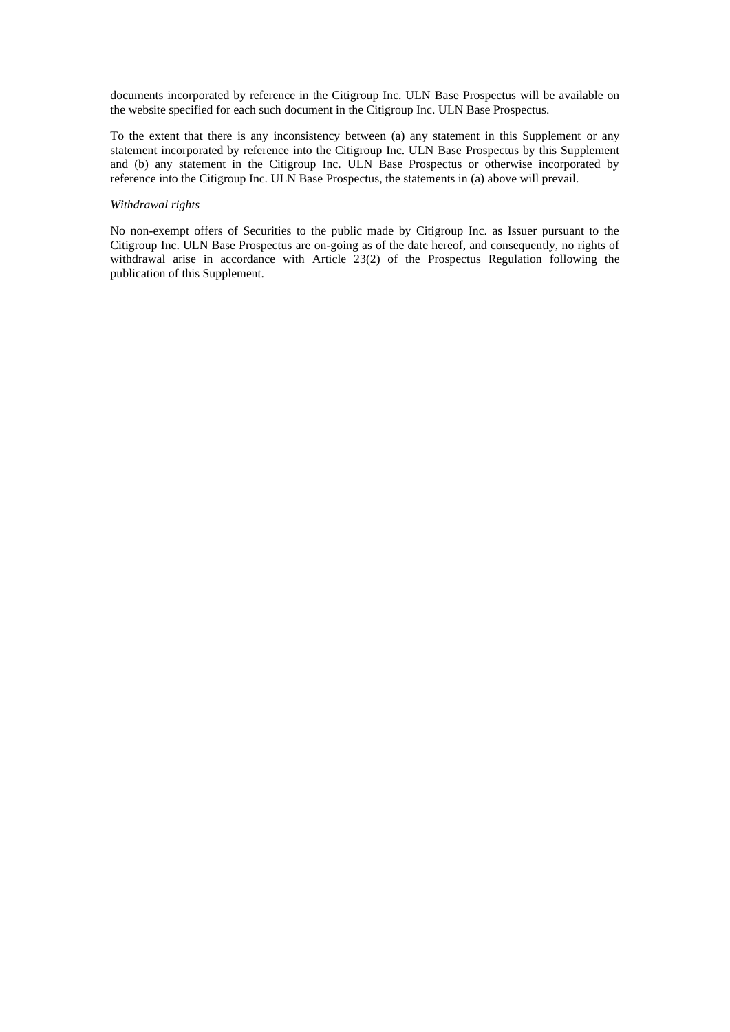documents incorporated by reference in the Citigroup Inc. ULN Base Prospectus will be available on the website specified for each such document in the Citigroup Inc. ULN Base Prospectus.

To the extent that there is any inconsistency between (a) any statement in this Supplement or any statement incorporated by reference into the Citigroup Inc. ULN Base Prospectus by this Supplement and (b) any statement in the Citigroup Inc. ULN Base Prospectus or otherwise incorporated by reference into the Citigroup Inc. ULN Base Prospectus, the statements in (a) above will prevail.

### *Withdrawal rights*

No non-exempt offers of Securities to the public made by Citigroup Inc. as Issuer pursuant to the Citigroup Inc. ULN Base Prospectus are on-going as of the date hereof, and consequently, no rights of withdrawal arise in accordance with Article 23(2) of the Prospectus Regulation following the publication of this Supplement.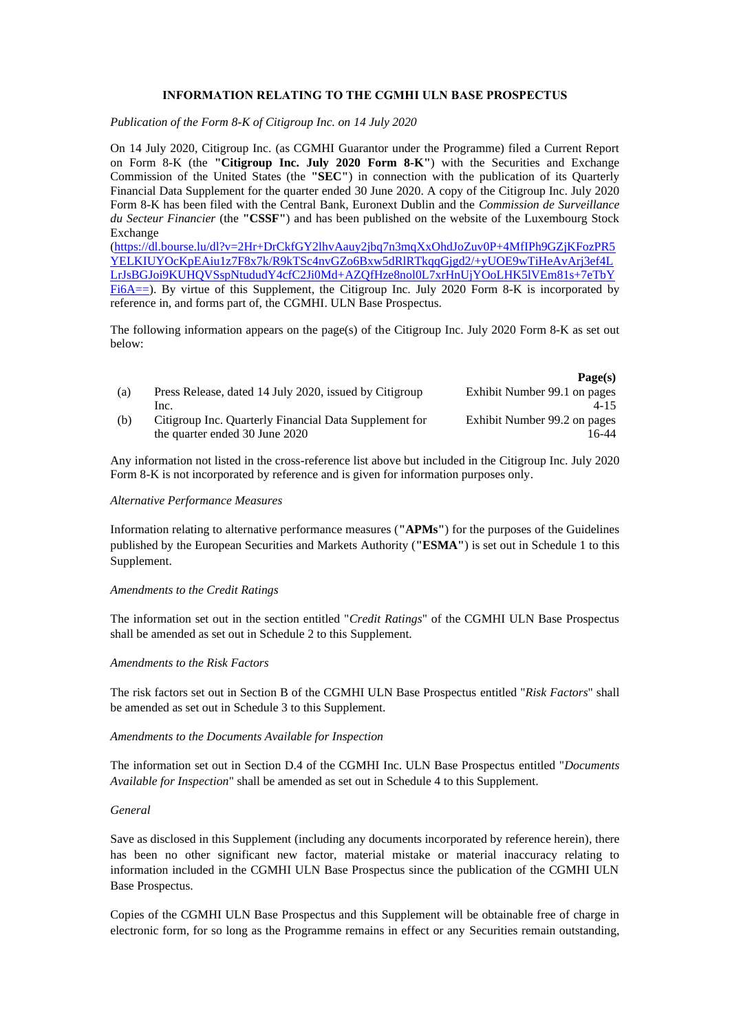# **INFORMATION RELATING TO THE CGMHI ULN BASE PROSPECTUS**

*Publication of the Form 8-K of Citigroup Inc. on 14 July 2020*

On 14 July 2020, Citigroup Inc. (as CGMHI Guarantor under the Programme) filed a Current Report on Form 8-K (the **"Citigroup Inc. July 2020 Form 8-K"**) with the Securities and Exchange Commission of the United States (the **"SEC"**) in connection with the publication of its Quarterly Financial Data Supplement for the quarter ended 30 June 2020. A copy of the Citigroup Inc. July 2020 Form 8-K has been filed with the Central Bank, Euronext Dublin and the *Commission de Surveillance du Secteur Financier* (the **"CSSF"**) and has been published on the website of the Luxembourg Stock Exchange

[\(https://dl.bourse.lu/dl?v=2Hr+DrCkfGY2lhvAauy2jbq7n3mqXxOhdJoZuv0P+4MfIPh9GZjKFozPR5](https://dl.bourse.lu/dl?v=2Hr+DrCkfGY2lhvAauy2jbq7n3mqXxOhdJoZuv0P+4MfIPh9GZjKFozPR5YELKIUYOcKpEAiu1z7F8x7k/R9kTSc4nvGZo6Bxw5dRlRTkqqGjgd2/+yUOE9wTiHeAvArj3ef4LLrJsBGJoi9KUHQVSspNtududY4cfC2Ji0Md+AZQfHze8nol0L7xrHnUjYOoLHK5lVEm81s+7eTbYFi6A==) [YELKIUYOcKpEAiu1z7F8x7k/R9kTSc4nvGZo6Bxw5dRlRTkqqGjgd2/+yUOE9wTiHeAvArj3ef4L](https://dl.bourse.lu/dl?v=2Hr+DrCkfGY2lhvAauy2jbq7n3mqXxOhdJoZuv0P+4MfIPh9GZjKFozPR5YELKIUYOcKpEAiu1z7F8x7k/R9kTSc4nvGZo6Bxw5dRlRTkqqGjgd2/+yUOE9wTiHeAvArj3ef4LLrJsBGJoi9KUHQVSspNtududY4cfC2Ji0Md+AZQfHze8nol0L7xrHnUjYOoLHK5lVEm81s+7eTbYFi6A==) [LrJsBGJoi9KUHQVSspNtududY4cfC2Ji0Md+AZQfHze8nol0L7xrHnUjYOoLHK5lVEm81s+7eTbY](https://dl.bourse.lu/dl?v=2Hr+DrCkfGY2lhvAauy2jbq7n3mqXxOhdJoZuv0P+4MfIPh9GZjKFozPR5YELKIUYOcKpEAiu1z7F8x7k/R9kTSc4nvGZo6Bxw5dRlRTkqqGjgd2/+yUOE9wTiHeAvArj3ef4LLrJsBGJoi9KUHQVSspNtududY4cfC2Ji0Md+AZQfHze8nol0L7xrHnUjYOoLHK5lVEm81s+7eTbYFi6A==) [Fi6A==\)](https://dl.bourse.lu/dl?v=2Hr+DrCkfGY2lhvAauy2jbq7n3mqXxOhdJoZuv0P+4MfIPh9GZjKFozPR5YELKIUYOcKpEAiu1z7F8x7k/R9kTSc4nvGZo6Bxw5dRlRTkqqGjgd2/+yUOE9wTiHeAvArj3ef4LLrJsBGJoi9KUHQVSspNtududY4cfC2Ji0Md+AZQfHze8nol0L7xrHnUjYOoLHK5lVEm81s+7eTbYFi6A==). By virtue of this Supplement, the Citigroup Inc. July 2020 Form 8-K is incorporated by reference in, and forms part of, the CGMHI. ULN Base Prospectus.

The following information appears on the page(s) of the Citigroup Inc. July 2020 Form 8-K as set out below:

|     |                                                        | Page(s)                      |
|-----|--------------------------------------------------------|------------------------------|
| (a) | Press Release, dated 14 July 2020, issued by Citigroup | Exhibit Number 99.1 on pages |
|     | Inc.                                                   | $4 - 15$                     |
| (b) | Citigroup Inc. Quarterly Financial Data Supplement for | Exhibit Number 99.2 on pages |
|     | the quarter ended 30 June 2020                         | 6-44                         |

Any information not listed in the cross-reference list above but included in the Citigroup Inc. July 2020 Form 8-K is not incorporated by reference and is given for information purposes only.

### *Alternative Performance Measures*

Information relating to alternative performance measures (**"APMs"**) for the purposes of the Guidelines published by the European Securities and Markets Authority (**"ESMA"**) is set out in Schedule 1 to this Supplement.

### *Amendments to the Credit Ratings*

The information set out in the section entitled "*Credit Ratings*" of the CGMHI ULN Base Prospectus shall be amended as set out in Schedule 2 to this Supplement.

### *Amendments to the Risk Factors*

The risk factors set out in Section B of the CGMHI ULN Base Prospectus entitled "*Risk Factors*" shall be amended as set out in Schedule 3 to this Supplement.

### *Amendments to the Documents Available for Inspection*

The information set out in Section D.4 of the CGMHI Inc. ULN Base Prospectus entitled "*Documents Available for Inspection*" shall be amended as set out in Schedule 4 to this Supplement.

## *General*

Save as disclosed in this Supplement (including any documents incorporated by reference herein), there has been no other significant new factor, material mistake or material inaccuracy relating to information included in the CGMHI ULN Base Prospectus since the publication of the CGMHI ULN Base Prospectus.

Copies of the CGMHI ULN Base Prospectus and this Supplement will be obtainable free of charge in electronic form, for so long as the Programme remains in effect or any Securities remain outstanding,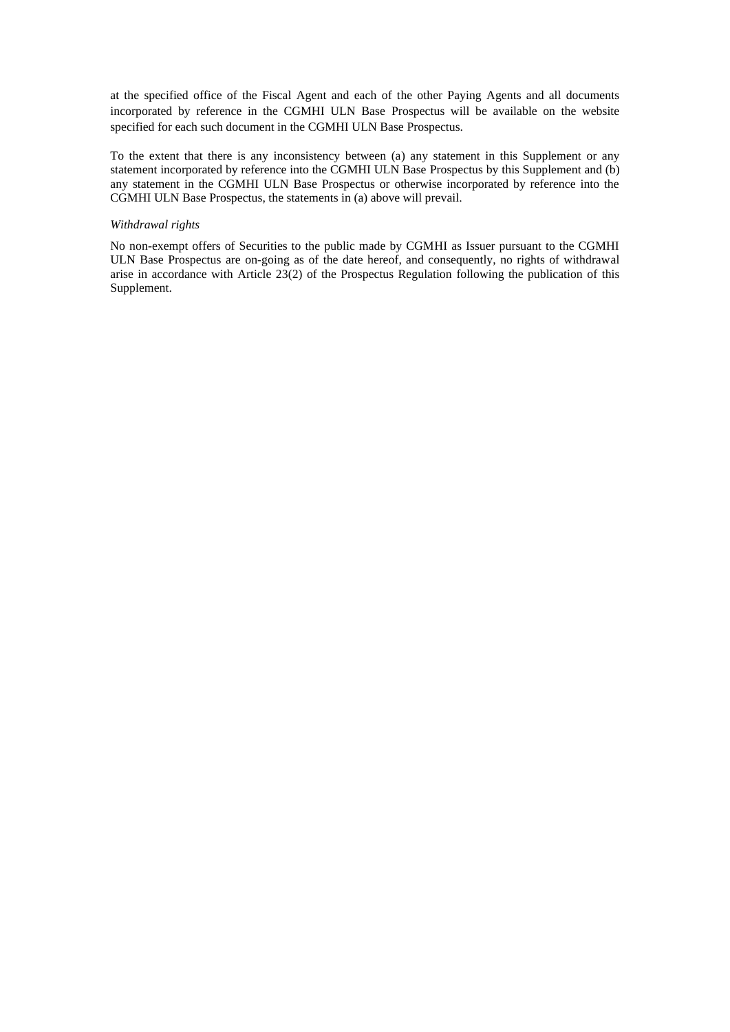at the specified office of the Fiscal Agent and each of the other Paying Agents and all documents incorporated by reference in the CGMHI ULN Base Prospectus will be available on the website specified for each such document in the CGMHI ULN Base Prospectus.

To the extent that there is any inconsistency between (a) any statement in this Supplement or any statement incorporated by reference into the CGMHI ULN Base Prospectus by this Supplement and (b) any statement in the CGMHI ULN Base Prospectus or otherwise incorporated by reference into the CGMHI ULN Base Prospectus, the statements in (a) above will prevail.

#### *Withdrawal rights*

No non-exempt offers of Securities to the public made by CGMHI as Issuer pursuant to the CGMHI ULN Base Prospectus are on-going as of the date hereof, and consequently, no rights of withdrawal arise in accordance with Article 23(2) of the Prospectus Regulation following the publication of this Supplement.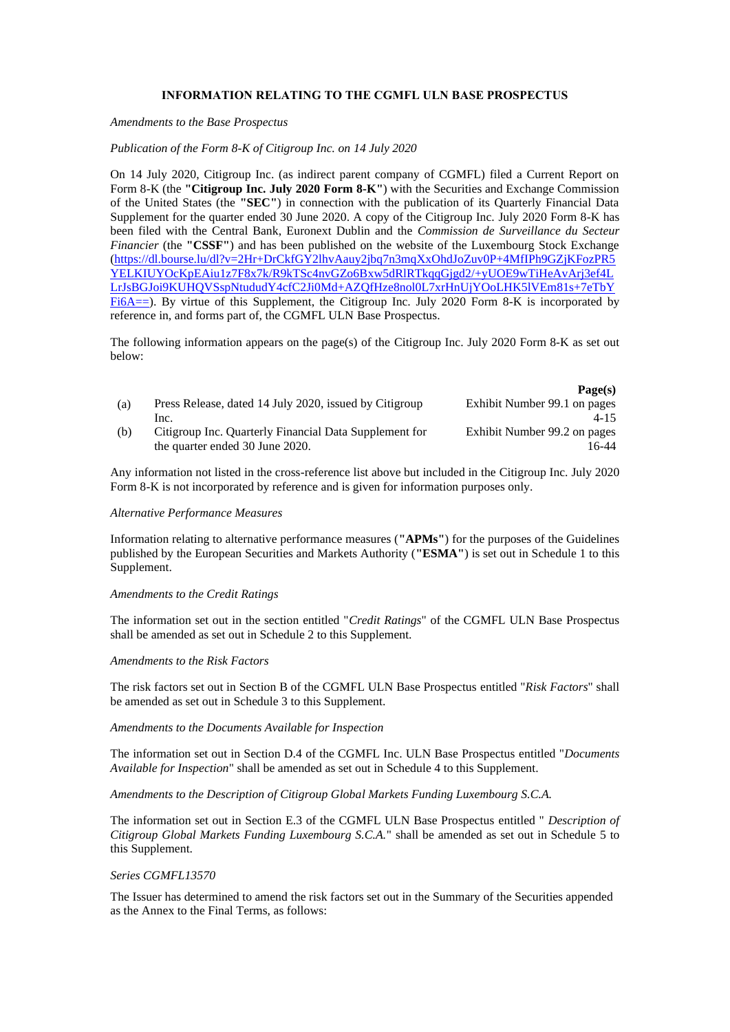## **INFORMATION RELATING TO THE CGMFL ULN BASE PROSPECTUS**

#### *Amendments to the Base Prospectus*

### *Publication of the Form 8-K of Citigroup Inc. on 14 July 2020*

On 14 July 2020, Citigroup Inc. (as indirect parent company of CGMFL) filed a Current Report on Form 8-K (the **"Citigroup Inc. July 2020 Form 8-K"**) with the Securities and Exchange Commission of the United States (the **"SEC"**) in connection with the publication of its Quarterly Financial Data Supplement for the quarter ended 30 June 2020. A copy of the Citigroup Inc. July 2020 Form 8-K has been filed with the Central Bank, Euronext Dublin and the *Commission de Surveillance du Secteur Financier* (the **"CSSF"**) and has been published on the website of the Luxembourg Stock Exchange [\(https://dl.bourse.lu/dl?v=2Hr+DrCkfGY2lhvAauy2jbq7n3mqXxOhdJoZuv0P+4MfIPh9GZjKFozPR5](https://dl.bourse.lu/dl?v=2Hr+DrCkfGY2lhvAauy2jbq7n3mqXxOhdJoZuv0P+4MfIPh9GZjKFozPR5YELKIUYOcKpEAiu1z7F8x7k/R9kTSc4nvGZo6Bxw5dRlRTkqqGjgd2/+yUOE9wTiHeAvArj3ef4LLrJsBGJoi9KUHQVSspNtududY4cfC2Ji0Md+AZQfHze8nol0L7xrHnUjYOoLHK5lVEm81s+7eTbYFi6A==) [YELKIUYOcKpEAiu1z7F8x7k/R9kTSc4nvGZo6Bxw5dRlRTkqqGjgd2/+yUOE9wTiHeAvArj3ef4L](https://dl.bourse.lu/dl?v=2Hr+DrCkfGY2lhvAauy2jbq7n3mqXxOhdJoZuv0P+4MfIPh9GZjKFozPR5YELKIUYOcKpEAiu1z7F8x7k/R9kTSc4nvGZo6Bxw5dRlRTkqqGjgd2/+yUOE9wTiHeAvArj3ef4LLrJsBGJoi9KUHQVSspNtududY4cfC2Ji0Md+AZQfHze8nol0L7xrHnUjYOoLHK5lVEm81s+7eTbYFi6A==) [LrJsBGJoi9KUHQVSspNtududY4cfC2Ji0Md+AZQfHze8nol0L7xrHnUjYOoLHK5lVEm81s+7eTbY](https://dl.bourse.lu/dl?v=2Hr+DrCkfGY2lhvAauy2jbq7n3mqXxOhdJoZuv0P+4MfIPh9GZjKFozPR5YELKIUYOcKpEAiu1z7F8x7k/R9kTSc4nvGZo6Bxw5dRlRTkqqGjgd2/+yUOE9wTiHeAvArj3ef4LLrJsBGJoi9KUHQVSspNtududY4cfC2Ji0Md+AZQfHze8nol0L7xrHnUjYOoLHK5lVEm81s+7eTbYFi6A==) [Fi6A==\)](https://dl.bourse.lu/dl?v=2Hr+DrCkfGY2lhvAauy2jbq7n3mqXxOhdJoZuv0P+4MfIPh9GZjKFozPR5YELKIUYOcKpEAiu1z7F8x7k/R9kTSc4nvGZo6Bxw5dRlRTkqqGjgd2/+yUOE9wTiHeAvArj3ef4LLrJsBGJoi9KUHQVSspNtududY4cfC2Ji0Md+AZQfHze8nol0L7xrHnUjYOoLHK5lVEm81s+7eTbYFi6A==). By virtue of this Supplement, the Citigroup Inc. July 2020 Form 8-K is incorporated by reference in, and forms part of, the CGMFL ULN Base Prospectus.

The following information appears on the page(s) of the Citigroup Inc. July 2020 Form 8-K as set out below:

|     |                                                        | 1.00111                      |
|-----|--------------------------------------------------------|------------------------------|
| (a) | Press Release, dated 14 July 2020, issued by Citigroup | Exhibit Number 99.1 on pages |
|     | Inc.                                                   | $4 - 15$                     |
| (b) | Citigroup Inc. Quarterly Financial Data Supplement for | Exhibit Number 99.2 on pages |
|     | the quarter ended 30 June 2020.                        | 16-44                        |

**Page(s)**

Any information not listed in the cross-reference list above but included in the Citigroup Inc. July 2020 Form 8-K is not incorporated by reference and is given for information purposes only.

#### *Alternative Performance Measures*

Information relating to alternative performance measures (**"APMs"**) for the purposes of the Guidelines published by the European Securities and Markets Authority (**"ESMA"**) is set out in Schedule 1 to this Supplement.

#### *Amendments to the Credit Ratings*

The information set out in the section entitled "*Credit Ratings*" of the CGMFL ULN Base Prospectus shall be amended as set out in Schedule 2 to this Supplement.

#### *Amendments to the Risk Factors*

The risk factors set out in Section B of the CGMFL ULN Base Prospectus entitled "*Risk Factors*" shall be amended as set out in Schedule 3 to this Supplement.

#### *Amendments to the Documents Available for Inspection*

The information set out in Section D.4 of the CGMFL Inc. ULN Base Prospectus entitled "*Documents Available for Inspection*" shall be amended as set out in Schedule 4 to this Supplement.

*Amendments to the Description of Citigroup Global Markets Funding Luxembourg S.C.A.*

The information set out in Section E.3 of the CGMFL ULN Base Prospectus entitled " *Description of Citigroup Global Markets Funding Luxembourg S.C.A.*" shall be amended as set out in Schedule 5 to this Supplement.

#### *Series CGMFL13570*

The Issuer has determined to amend the risk factors set out in the Summary of the Securities appended as the Annex to the Final Terms, as follows: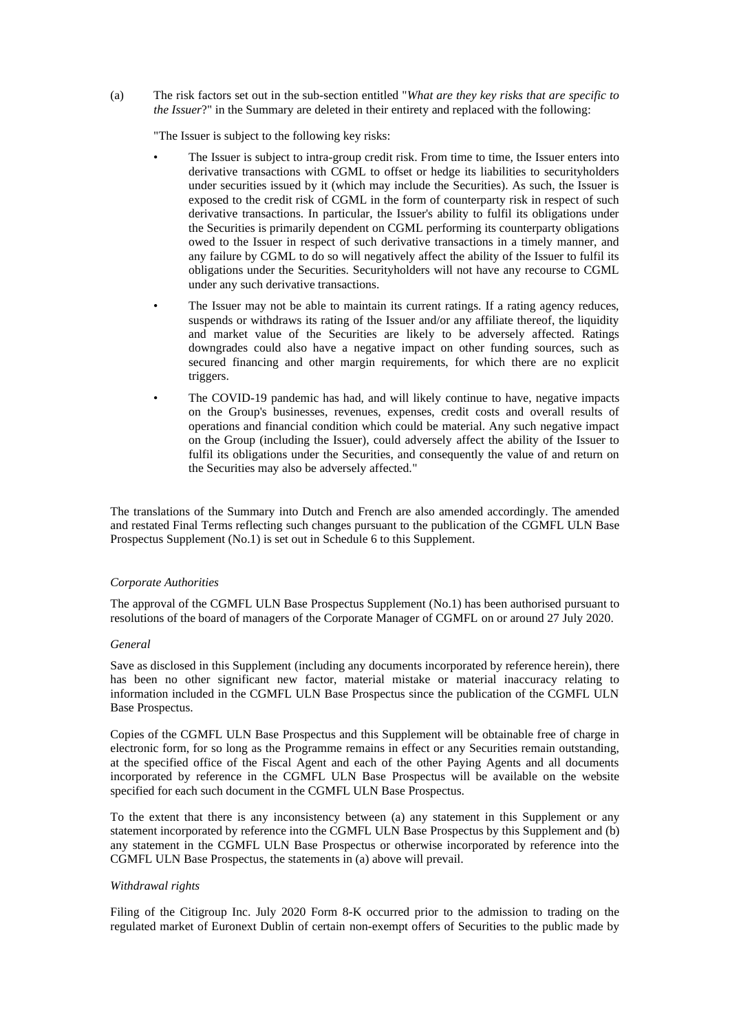(a) The risk factors set out in the sub-section entitled "*What are they key risks that are specific to the Issuer*?" in the Summary are deleted in their entirety and replaced with the following:

"The Issuer is subject to the following key risks:

- The Issuer is subject to intra-group credit risk. From time to time, the Issuer enters into derivative transactions with CGML to offset or hedge its liabilities to securityholders under securities issued by it (which may include the Securities). As such, the Issuer is exposed to the credit risk of CGML in the form of counterparty risk in respect of such derivative transactions. In particular, the Issuer's ability to fulfil its obligations under the Securities is primarily dependent on CGML performing its counterparty obligations owed to the Issuer in respect of such derivative transactions in a timely manner, and any failure by CGML to do so will negatively affect the ability of the Issuer to fulfil its obligations under the Securities. Securityholders will not have any recourse to CGML under any such derivative transactions.
- The Issuer may not be able to maintain its current ratings. If a rating agency reduces, suspends or withdraws its rating of the Issuer and/or any affiliate thereof, the liquidity and market value of the Securities are likely to be adversely affected. Ratings downgrades could also have a negative impact on other funding sources, such as secured financing and other margin requirements, for which there are no explicit triggers.
- The COVID-19 pandemic has had, and will likely continue to have, negative impacts on the Group's businesses, revenues, expenses, credit costs and overall results of operations and financial condition which could be material. Any such negative impact on the Group (including the Issuer), could adversely affect the ability of the Issuer to fulfil its obligations under the Securities, and consequently the value of and return on the Securities may also be adversely affected."

The translations of the Summary into Dutch and French are also amended accordingly. The amended and restated Final Terms reflecting such changes pursuant to the publication of the CGMFL ULN Base Prospectus Supplement (No.1) is set out in Schedule 6 to this Supplement.

### *Corporate Authorities*

The approval of the CGMFL ULN Base Prospectus Supplement (No.1) has been authorised pursuant to resolutions of the board of managers of the Corporate Manager of CGMFL on or around 27 July 2020.

## *General*

Save as disclosed in this Supplement (including any documents incorporated by reference herein), there has been no other significant new factor, material mistake or material inaccuracy relating to information included in the CGMFL ULN Base Prospectus since the publication of the CGMFL ULN Base Prospectus.

Copies of the CGMFL ULN Base Prospectus and this Supplement will be obtainable free of charge in electronic form, for so long as the Programme remains in effect or any Securities remain outstanding, at the specified office of the Fiscal Agent and each of the other Paying Agents and all documents incorporated by reference in the CGMFL ULN Base Prospectus will be available on the website specified for each such document in the CGMFL ULN Base Prospectus.

To the extent that there is any inconsistency between (a) any statement in this Supplement or any statement incorporated by reference into the CGMFL ULN Base Prospectus by this Supplement and (b) any statement in the CGMFL ULN Base Prospectus or otherwise incorporated by reference into the CGMFL ULN Base Prospectus, the statements in (a) above will prevail.

### *Withdrawal rights*

Filing of the Citigroup Inc. July 2020 Form 8-K occurred prior to the admission to trading on the regulated market of Euronext Dublin of certain non-exempt offers of Securities to the public made by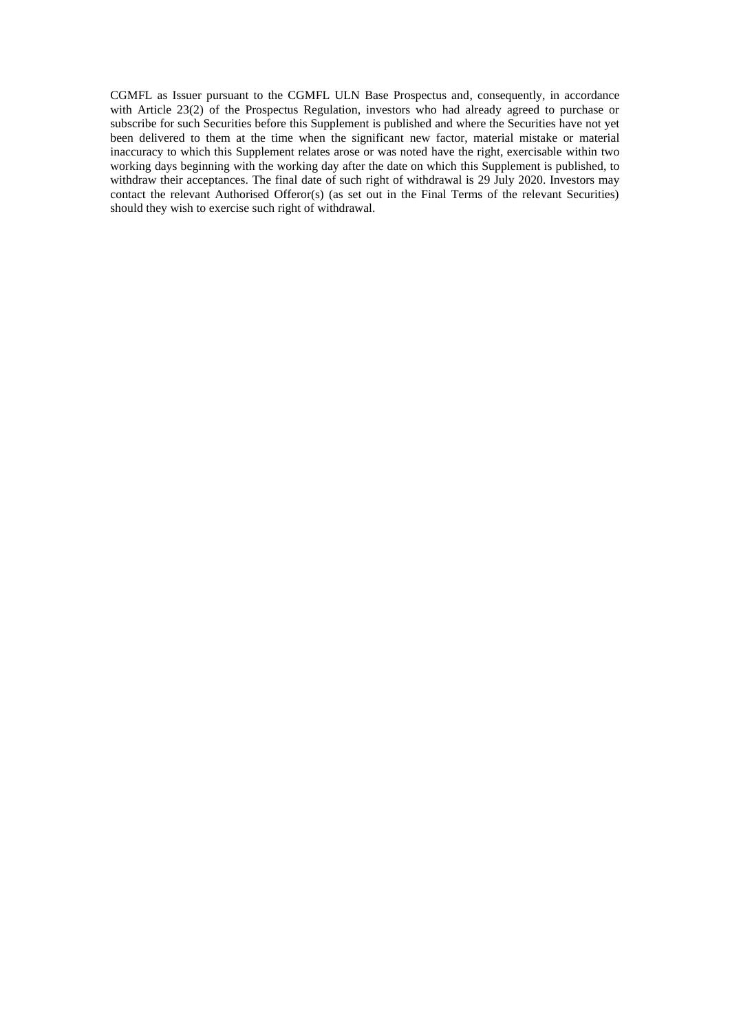CGMFL as Issuer pursuant to the CGMFL ULN Base Prospectus and, consequently, in accordance with Article 23(2) of the Prospectus Regulation, investors who had already agreed to purchase or subscribe for such Securities before this Supplement is published and where the Securities have not yet been delivered to them at the time when the significant new factor, material mistake or material inaccuracy to which this Supplement relates arose or was noted have the right, exercisable within two working days beginning with the working day after the date on which this Supplement is published, to withdraw their acceptances. The final date of such right of withdrawal is 29 July 2020. Investors may contact the relevant Authorised Offeror(s) (as set out in the Final Terms of the relevant Securities) should they wish to exercise such right of withdrawal.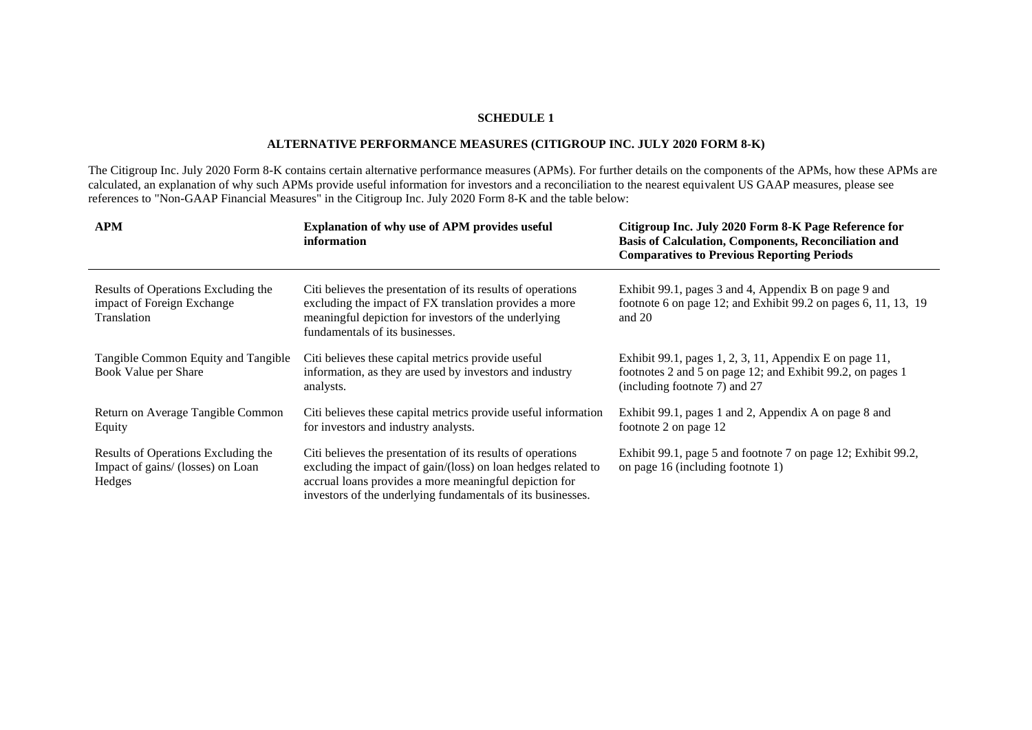# **ALTERNATIVE PERFORMANCE MEASURES (CITIGROUP INC. JULY 2020 FORM 8-K)**

The Citigroup Inc. July 2020 Form 8-K contains certain alternative performance measures (APMs). For further details on the components of the APMs, how these APMs are calculated, an explanation of why such APMs provide useful information for investors and a reconciliation to the nearest equivalent US GAAP measures, please see references to "Non-GAAP Financial Measures" in the Citigroup Inc. July 2020 Form 8-K and the table below:

| <b>APM</b>                                                                         | <b>Explanation of why use of APM provides useful</b><br>information                                                                                                                                                                                   | Citigroup Inc. July 2020 Form 8-K Page Reference for<br>Basis of Calculation, Components, Reconciliation and<br><b>Comparatives to Previous Reporting Periods</b> |
|------------------------------------------------------------------------------------|-------------------------------------------------------------------------------------------------------------------------------------------------------------------------------------------------------------------------------------------------------|-------------------------------------------------------------------------------------------------------------------------------------------------------------------|
| Results of Operations Excluding the<br>impact of Foreign Exchange<br>Translation   | Citi believes the presentation of its results of operations<br>excluding the impact of FX translation provides a more<br>meaningful depiction for investors of the underlying<br>fundamentals of its businesses.                                      | Exhibit 99.1, pages 3 and 4, Appendix B on page 9 and<br>footnote 6 on page 12; and Exhibit 99.2 on pages 6, 11, 13, 19<br>and $20$                               |
| Tangible Common Equity and Tangible<br>Book Value per Share                        | Citi believes these capital metrics provide useful<br>information, as they are used by investors and industry<br>analysts.                                                                                                                            | Exhibit 99.1, pages 1, 2, 3, 11, Appendix E on page 11,<br>footnotes 2 and 5 on page 12; and Exhibit 99.2, on pages 1<br>(including footnote 7) and 27            |
| Return on Average Tangible Common<br>Equity                                        | Citi believes these capital metrics provide useful information<br>for investors and industry analysts.                                                                                                                                                | Exhibit 99.1, pages 1 and 2, Appendix A on page 8 and<br>footnote 2 on page 12                                                                                    |
| Results of Operations Excluding the<br>Impact of gains/ (losses) on Loan<br>Hedges | Citi believes the presentation of its results of operations<br>excluding the impact of gain/(loss) on loan hedges related to<br>accrual loans provides a more meaningful depiction for<br>investors of the underlying fundamentals of its businesses. | Exhibit 99.1, page 5 and footnote 7 on page 12; Exhibit 99.2,<br>on page 16 (including footnote 1)                                                                |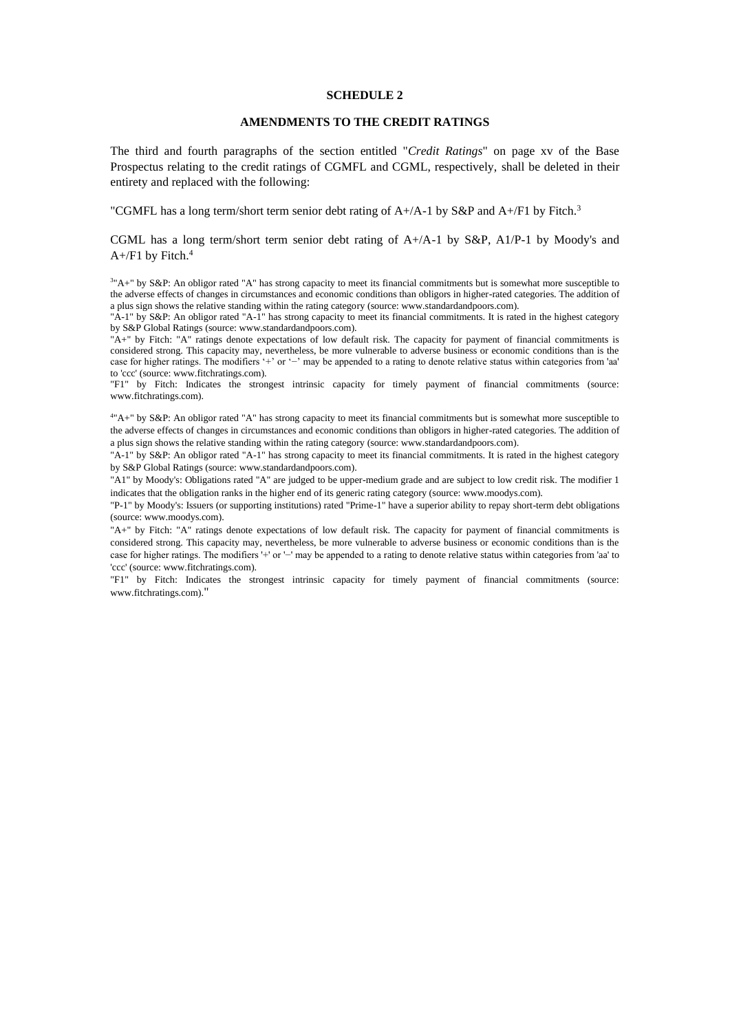## **AMENDMENTS TO THE CREDIT RATINGS**

The third and fourth paragraphs of the section entitled "*Credit Ratings*" on page xv of the Base Prospectus relating to the credit ratings of CGMFL and CGML, respectively, shall be deleted in their entirety and replaced with the following:

"CGMFL has a long term/short term senior debt rating of  $A+A-1$  by S&P and  $A+$ /F1 by Fitch.<sup>3</sup>

CGML has a long term/short term senior debt rating of A+/A-1 by S&P, A1/P-1 by Moody's and  $A+$ /F1 by Fitch.<sup>4</sup>

 $3"A+"$  by S&P: An obligor rated "A" has strong capacity to meet its financial commitments but is somewhat more susceptible to the adverse effects of changes in circumstances and economic conditions than obligors in higher-rated categories. The addition of a plus sign shows the relative standing within the rating category (source: www.standardandpoors.com).

"A-1" by S&P: An obligor rated "A-1" has strong capacity to meet its financial commitments. It is rated in the highest category by S&P Global Ratings (source: www.standardandpoors.com).

"A+" by Fitch: "A" ratings denote expectations of low default risk. The capacity for payment of financial commitments is considered strong. This capacity may, nevertheless, be more vulnerable to adverse business or economic conditions than is the case for higher ratings. The modifiers '+' or '−' may be appended to a rating to denote relative status within categories from 'aa' to 'ccc' (source: www.fitchratings.com).

"F1" by Fitch: Indicates the strongest intrinsic capacity for timely payment of financial commitments (source: www.fitchratings.com).

<sup>4</sup>"A+" by S&P: An obligor rated "A" has strong capacity to meet its financial commitments but is somewhat more susceptible to the adverse effects of changes in circumstances and economic conditions than obligors in higher-rated categories. The addition of a plus sign shows the relative standing within the rating category (source: www.standardandpoors.com).

"A-1" by S&P: An obligor rated "A-1" has strong capacity to meet its financial commitments. It is rated in the highest category by S&P Global Ratings (source: www.standardandpoors.com).

"A1" by Moody's: Obligations rated "A" are judged to be upper-medium grade and are subject to low credit risk. The modifier 1 indicates that the obligation ranks in the higher end of its generic rating category (source: www.moodys.com).

"P-1" by Moody's: Issuers (or supporting institutions) rated "Prime-1" have a superior ability to repay short-term debt obligations (source: www.moodys.com).

"A+" by Fitch: "A" ratings denote expectations of low default risk. The capacity for payment of financial commitments is considered strong. This capacity may, nevertheless, be more vulnerable to adverse business or economic conditions than is the case for higher ratings. The modifiers '+' or '−' may be appended to a rating to denote relative status within categories from 'aa' to 'ccc' (source: www.fitchratings.com).

"F1" by Fitch: Indicates the strongest intrinsic capacity for timely payment of financial commitments (source: www.fitchratings.com)."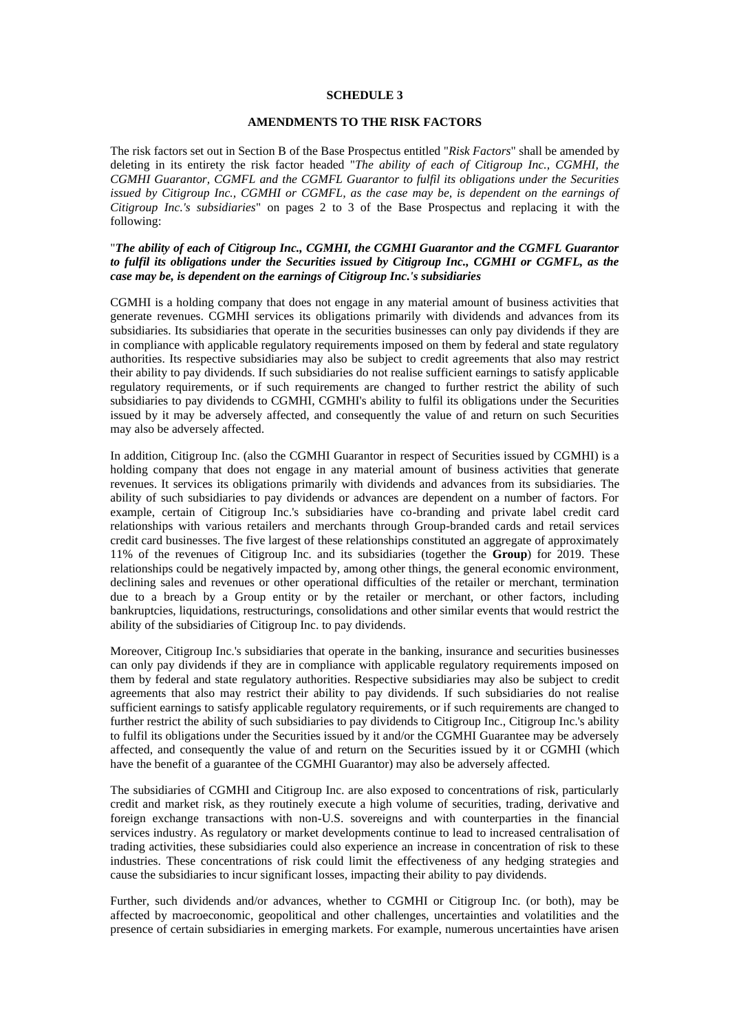## **AMENDMENTS TO THE RISK FACTORS**

The risk factors set out in Section B of the Base Prospectus entitled "*Risk Factors*" shall be amended by deleting in its entirety the risk factor headed "*The ability of each of Citigroup Inc., CGMHI, the CGMHI Guarantor, CGMFL and the CGMFL Guarantor to fulfil its obligations under the Securities issued by Citigroup Inc., CGMHI or CGMFL, as the case may be, is dependent on the earnings of Citigroup Inc.'s subsidiaries*" on pages 2 to 3 of the Base Prospectus and replacing it with the following:

## "*The ability of each of Citigroup Inc., CGMHI, the CGMHI Guarantor and the CGMFL Guarantor to fulfil its obligations under the Securities issued by Citigroup Inc., CGMHI or CGMFL, as the case may be, is dependent on the earnings of Citigroup Inc.'s subsidiaries*

CGMHI is a holding company that does not engage in any material amount of business activities that generate revenues. CGMHI services its obligations primarily with dividends and advances from its subsidiaries. Its subsidiaries that operate in the securities businesses can only pay dividends if they are in compliance with applicable regulatory requirements imposed on them by federal and state regulatory authorities. Its respective subsidiaries may also be subject to credit agreements that also may restrict their ability to pay dividends. If such subsidiaries do not realise sufficient earnings to satisfy applicable regulatory requirements, or if such requirements are changed to further restrict the ability of such subsidiaries to pay dividends to CGMHI, CGMHI's ability to fulfil its obligations under the Securities issued by it may be adversely affected, and consequently the value of and return on such Securities may also be adversely affected.

In addition, Citigroup Inc. (also the CGMHI Guarantor in respect of Securities issued by CGMHI) is a holding company that does not engage in any material amount of business activities that generate revenues. It services its obligations primarily with dividends and advances from its subsidiaries. The ability of such subsidiaries to pay dividends or advances are dependent on a number of factors. For example, certain of Citigroup Inc.'s subsidiaries have co-branding and private label credit card relationships with various retailers and merchants through Group-branded cards and retail services credit card businesses. The five largest of these relationships constituted an aggregate of approximately 11% of the revenues of Citigroup Inc. and its subsidiaries (together the **Group**) for 2019. These relationships could be negatively impacted by, among other things, the general economic environment, declining sales and revenues or other operational difficulties of the retailer or merchant, termination due to a breach by a Group entity or by the retailer or merchant, or other factors, including bankruptcies, liquidations, restructurings, consolidations and other similar events that would restrict the ability of the subsidiaries of Citigroup Inc. to pay dividends.

Moreover, Citigroup Inc.'s subsidiaries that operate in the banking, insurance and securities businesses can only pay dividends if they are in compliance with applicable regulatory requirements imposed on them by federal and state regulatory authorities. Respective subsidiaries may also be subject to credit agreements that also may restrict their ability to pay dividends. If such subsidiaries do not realise sufficient earnings to satisfy applicable regulatory requirements, or if such requirements are changed to further restrict the ability of such subsidiaries to pay dividends to Citigroup Inc., Citigroup Inc.'s ability to fulfil its obligations under the Securities issued by it and/or the CGMHI Guarantee may be adversely affected, and consequently the value of and return on the Securities issued by it or CGMHI (which have the benefit of a guarantee of the CGMHI Guarantor) may also be adversely affected.

The subsidiaries of CGMHI and Citigroup Inc. are also exposed to concentrations of risk, particularly credit and market risk, as they routinely execute a high volume of securities, trading, derivative and foreign exchange transactions with non-U.S. sovereigns and with counterparties in the financial services industry. As regulatory or market developments continue to lead to increased centralisation of trading activities, these subsidiaries could also experience an increase in concentration of risk to these industries. These concentrations of risk could limit the effectiveness of any hedging strategies and cause the subsidiaries to incur significant losses, impacting their ability to pay dividends.

Further, such dividends and/or advances, whether to CGMHI or Citigroup Inc. (or both), may be affected by macroeconomic, geopolitical and other challenges, uncertainties and volatilities and the presence of certain subsidiaries in emerging markets. For example, numerous uncertainties have arisen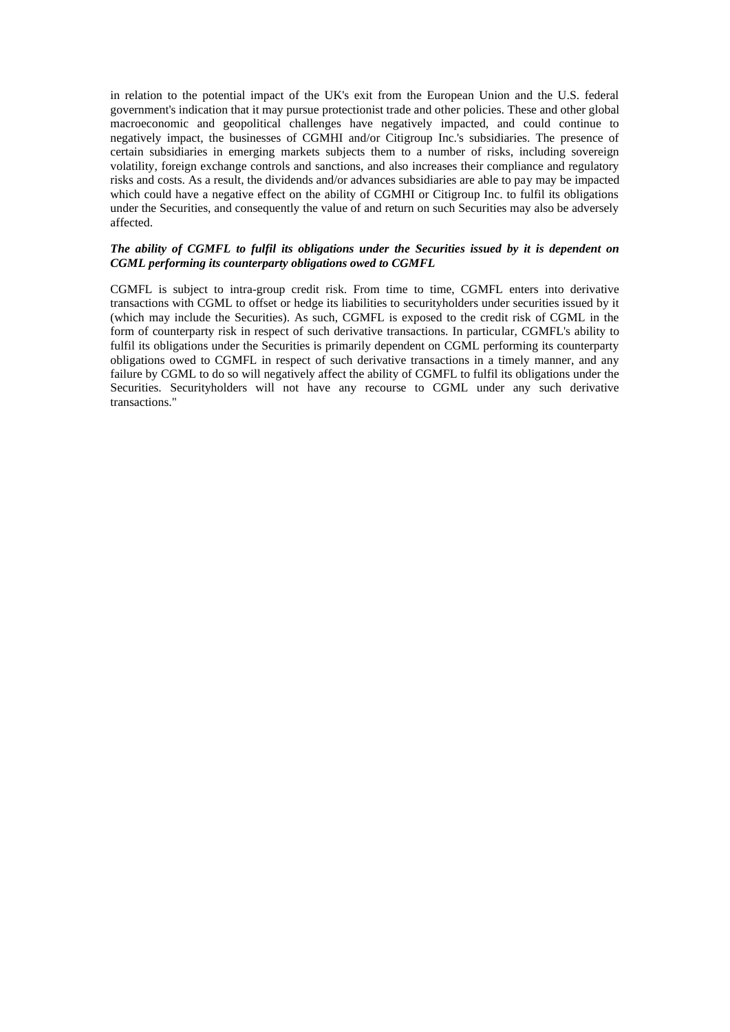in relation to the potential impact of the UK's exit from the European Union and the U.S. federal government's indication that it may pursue protectionist trade and other policies. These and other global macroeconomic and geopolitical challenges have negatively impacted, and could continue to negatively impact, the businesses of CGMHI and/or Citigroup Inc.'s subsidiaries. The presence of certain subsidiaries in emerging markets subjects them to a number of risks, including sovereign volatility, foreign exchange controls and sanctions, and also increases their compliance and regulatory risks and costs. As a result, the dividends and/or advances subsidiaries are able to pay may be impacted which could have a negative effect on the ability of CGMHI or Citigroup Inc. to fulfil its obligations under the Securities, and consequently the value of and return on such Securities may also be adversely affected.

# *The ability of CGMFL to fulfil its obligations under the Securities issued by it is dependent on CGML performing its counterparty obligations owed to CGMFL*

CGMFL is subject to intra-group credit risk. From time to time, CGMFL enters into derivative transactions with CGML to offset or hedge its liabilities to securityholders under securities issued by it (which may include the Securities). As such, CGMFL is exposed to the credit risk of CGML in the form of counterparty risk in respect of such derivative transactions. In particular, CGMFL's ability to fulfil its obligations under the Securities is primarily dependent on CGML performing its counterparty obligations owed to CGMFL in respect of such derivative transactions in a timely manner, and any failure by CGML to do so will negatively affect the ability of CGMFL to fulfil its obligations under the Securities. Securityholders will not have any recourse to CGML under any such derivative transactions."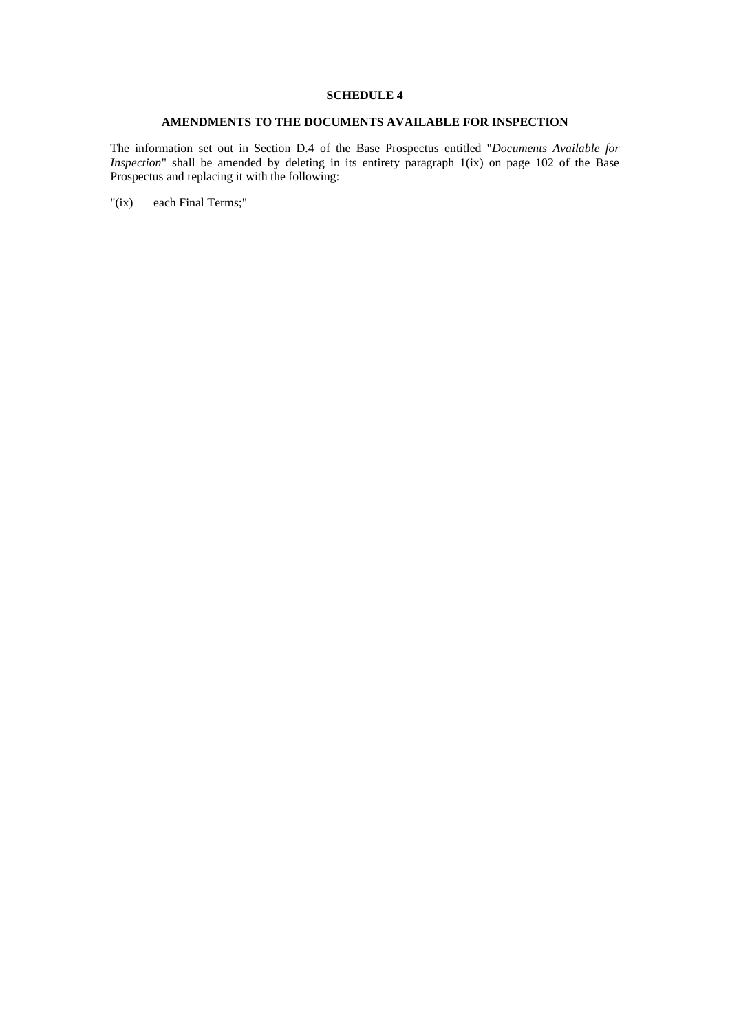# **AMENDMENTS TO THE DOCUMENTS AVAILABLE FOR INSPECTION**

The information set out in Section D.4 of the Base Prospectus entitled "*Documents Available for Inspection*" shall be amended by deleting in its entirety paragraph 1(ix) on page 102 of the Base Prospectus and replacing it with the following:

"(ix) each Final Terms;"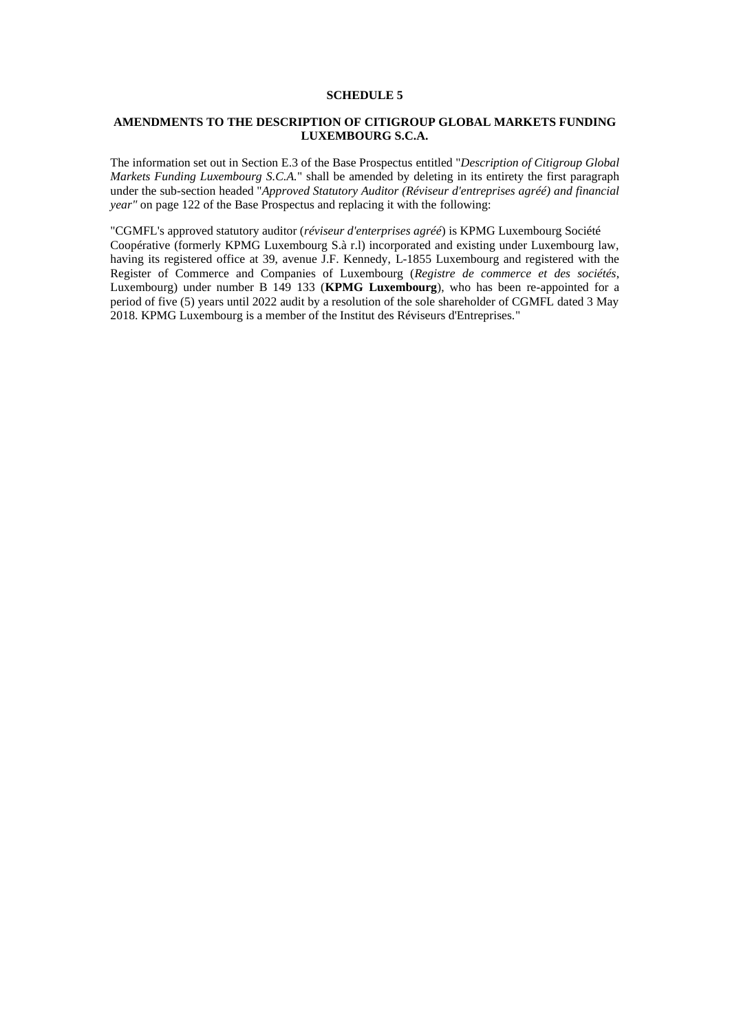# **AMENDMENTS TO THE DESCRIPTION OF CITIGROUP GLOBAL MARKETS FUNDING LUXEMBOURG S.C.A.**

The information set out in Section E.3 of the Base Prospectus entitled "*Description of Citigroup Global Markets Funding Luxembourg S.C.A.*" shall be amended by deleting in its entirety the first paragraph under the sub-section headed "*Approved Statutory Auditor (Réviseur d'entreprises agréé) and financial year"* on page 122 of the Base Prospectus and replacing it with the following:

"CGMFL's approved statutory auditor (*réviseur d'enterprises agréé*) is KPMG Luxembourg Société Coopérative (formerly KPMG Luxembourg S.à r.l) incorporated and existing under Luxembourg law, having its registered office at 39, avenue J.F. Kennedy, L-1855 Luxembourg and registered with the Register of Commerce and Companies of Luxembourg (*Registre de commerce et des sociétés*, Luxembourg) under number B 149 133 (**KPMG Luxembourg**), who has been re-appointed for a period of five (5) years until 2022 audit by a resolution of the sole shareholder of CGMFL dated 3 May 2018. KPMG Luxembourg is a member of the Institut des Réviseurs d'Entreprises."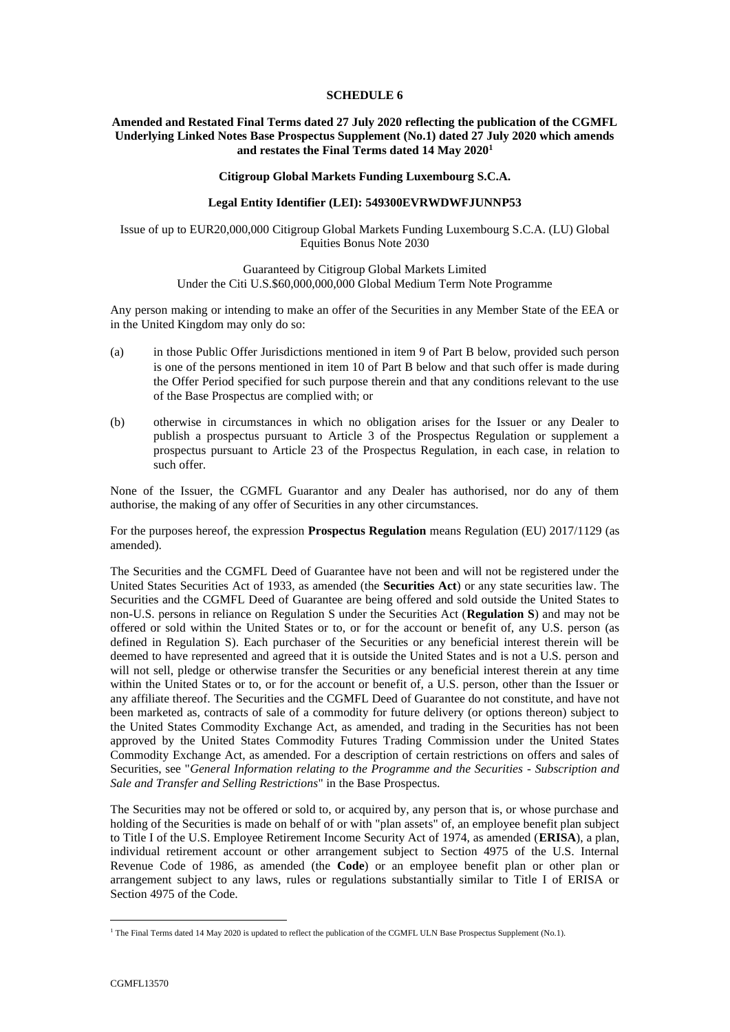## **Amended and Restated Final Terms dated 27 July 2020 reflecting the publication of the CGMFL Underlying Linked Notes Base Prospectus Supplement (No.1) dated 27 July 2020 which amends and restates the Final Terms dated 14 May 2020<sup>1</sup>**

### **Citigroup Global Markets Funding Luxembourg S.C.A.**

### **Legal Entity Identifier (LEI): 549300EVRWDWFJUNNP53**

Issue of up to EUR20,000,000 Citigroup Global Markets Funding Luxembourg S.C.A. (LU) Global Equities Bonus Note 2030

### Guaranteed by Citigroup Global Markets Limited Under the Citi U.S.\$60,000,000,000 Global Medium Term Note Programme

Any person making or intending to make an offer of the Securities in any Member State of the EEA or in the United Kingdom may only do so:

- (a) in those Public Offer Jurisdictions mentioned in item 9 of [Part B](#page-28-0) below, provided such person is one of the persons mentioned in item 10 of [Part B](#page-28-0) below and that such offer is made during the Offer Period specified for such purpose therein and that any conditions relevant to the use of the Base Prospectus are complied with; or
- (b) otherwise in circumstances in which no obligation arises for the Issuer or any Dealer to publish a prospectus pursuant to Article 3 of the Prospectus Regulation or supplement a prospectus pursuant to Article 23 of the Prospectus Regulation, in each case, in relation to such offer.

None of the Issuer, the CGMFL Guarantor and any Dealer has authorised, nor do any of them authorise, the making of any offer of Securities in any other circumstances.

For the purposes hereof, the expression **Prospectus Regulation** means Regulation (EU) 2017/1129 (as amended).

The Securities and the CGMFL Deed of Guarantee have not been and will not be registered under the United States Securities Act of 1933, as amended (the **Securities Act**) or any state securities law. The Securities and the CGMFL Deed of Guarantee are being offered and sold outside the United States to non-U.S. persons in reliance on Regulation S under the Securities Act (**Regulation S**) and may not be offered or sold within the United States or to, or for the account or benefit of, any U.S. person (as defined in Regulation S). Each purchaser of the Securities or any beneficial interest therein will be deemed to have represented and agreed that it is outside the United States and is not a U.S. person and will not sell, pledge or otherwise transfer the Securities or any beneficial interest therein at any time within the United States or to, or for the account or benefit of, a U.S. person, other than the Issuer or any affiliate thereof. The Securities and the CGMFL Deed of Guarantee do not constitute, and have not been marketed as, contracts of sale of a commodity for future delivery (or options thereon) subject to the United States Commodity Exchange Act, as amended, and trading in the Securities has not been approved by the United States Commodity Futures Trading Commission under the United States Commodity Exchange Act, as amended. For a description of certain restrictions on offers and sales of Securities, see "*General Information relating to the Programme and the Securities - Subscription and Sale and Transfer and Selling Restrictions*" in the Base Prospectus.

The Securities may not be offered or sold to, or acquired by, any person that is, or whose purchase and holding of the Securities is made on behalf of or with "plan assets" of, an employee benefit plan subject to Title I of the U.S. Employee Retirement Income Security Act of 1974, as amended (**ERISA**), a plan, individual retirement account or other arrangement subject to Section 4975 of the U.S. Internal Revenue Code of 1986, as amended (the **Code**) or an employee benefit plan or other plan or arrangement subject to any laws, rules or regulations substantially similar to Title I of ERISA or Section 4975 of the Code.

<sup>1</sup> The Final Terms dated 14 May 2020 is updated to reflect the publication of the CGMFL ULN Base Prospectus Supplement (No.1).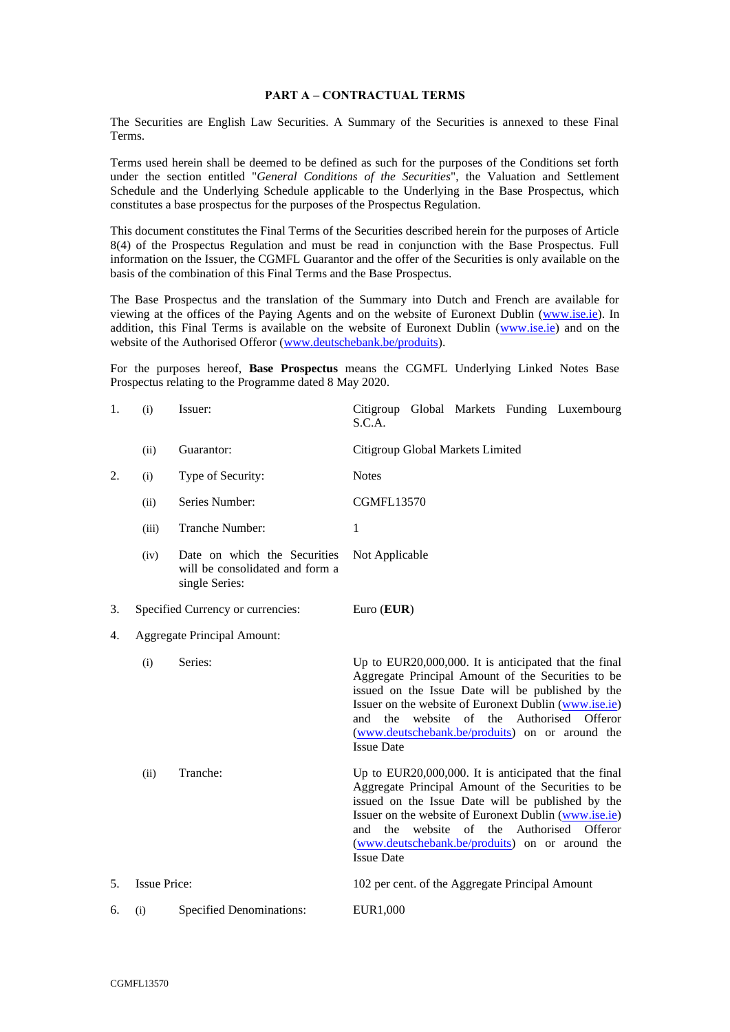### <span id="page-17-0"></span>**PART A – CONTRACTUAL TERMS**

The Securities are English Law Securities. A Summary of the Securities is annexed to these Final Terms.

Terms used herein shall be deemed to be defined as such for the purposes of the Conditions set forth under the section entitled "*General Conditions of the Securities*", the Valuation and Settlement Schedule and the Underlying Schedule applicable to the Underlying in the Base Prospectus, which constitutes a base prospectus for the purposes of the Prospectus Regulation.

This document constitutes the Final Terms of the Securities described herein for the purposes of Article 8(4) of the Prospectus Regulation and must be read in conjunction with the Base Prospectus. Full information on the Issuer, the CGMFL Guarantor and the offer of the Securities is only available on the basis of the combination of this Final Terms and the Base Prospectus.

The Base Prospectus and the translation of the Summary into Dutch and French are available for viewing at the offices of the Paying Agents and on the website of Euronext Dublin [\(www.ise.ie\)](http://www.ise.ie/). In addition, this Final Terms is available on the website of Euronext Dublin [\(www.ise.ie\)](http://www.ise.ie/) and on the website of the Authorised Offeror [\(www.deutschebank.be/produits\)](http://www.deutschebank.be/produits).

For the purposes hereof, **Base Prospectus** means the CGMFL Underlying Linked Notes Base Prospectus relating to the Programme dated 8 May 2020.

| 1. | (i)                 | Issuer:                                                                           | Citigroup Global Markets Funding Luxembourg<br>S.C.A.                                                                                                                                                                                                                                                                                                   |  |  |  |  |  |
|----|---------------------|-----------------------------------------------------------------------------------|---------------------------------------------------------------------------------------------------------------------------------------------------------------------------------------------------------------------------------------------------------------------------------------------------------------------------------------------------------|--|--|--|--|--|
|    | (ii)                | Guarantor:                                                                        | Citigroup Global Markets Limited                                                                                                                                                                                                                                                                                                                        |  |  |  |  |  |
| 2. | (i)                 | Type of Security:                                                                 | <b>Notes</b>                                                                                                                                                                                                                                                                                                                                            |  |  |  |  |  |
|    | (ii)                | Series Number:                                                                    | <b>CGMFL13570</b>                                                                                                                                                                                                                                                                                                                                       |  |  |  |  |  |
|    | (iii)               | Tranche Number:                                                                   | $\mathbf{1}$                                                                                                                                                                                                                                                                                                                                            |  |  |  |  |  |
|    | (iv)                | Date on which the Securities<br>will be consolidated and form a<br>single Series: | Not Applicable                                                                                                                                                                                                                                                                                                                                          |  |  |  |  |  |
| 3. |                     | Specified Currency or currencies:                                                 | Euro $(EUR)$                                                                                                                                                                                                                                                                                                                                            |  |  |  |  |  |
| 4. |                     | <b>Aggregate Principal Amount:</b>                                                |                                                                                                                                                                                                                                                                                                                                                         |  |  |  |  |  |
|    | (i)                 | Series:                                                                           | Up to EUR20,000,000. It is anticipated that the final<br>Aggregate Principal Amount of the Securities to be<br>issued on the Issue Date will be published by the<br>Issuer on the website of Euronext Dublin (www.ise.ie)<br>website of the Authorised<br>and the<br>Offeror<br>(www.deutschebank.be/produits) on or around the<br><b>Issue Date</b>    |  |  |  |  |  |
|    | (ii)                | Tranche:                                                                          | Up to EUR20,000,000. It is anticipated that the final<br>Aggregate Principal Amount of the Securities to be<br>issued on the Issue Date will be published by the<br>Issuer on the website of Euronext Dublin (www.ise.ie)<br>the<br>website of the Authorised<br>Offeror<br>and<br>(www.deutschebank.be/produits) on or around the<br><b>Issue Date</b> |  |  |  |  |  |
| 5. | <b>Issue Price:</b> |                                                                                   | 102 per cent. of the Aggregate Principal Amount                                                                                                                                                                                                                                                                                                         |  |  |  |  |  |
| 6. | (i)                 | <b>Specified Denominations:</b>                                                   | EUR1,000                                                                                                                                                                                                                                                                                                                                                |  |  |  |  |  |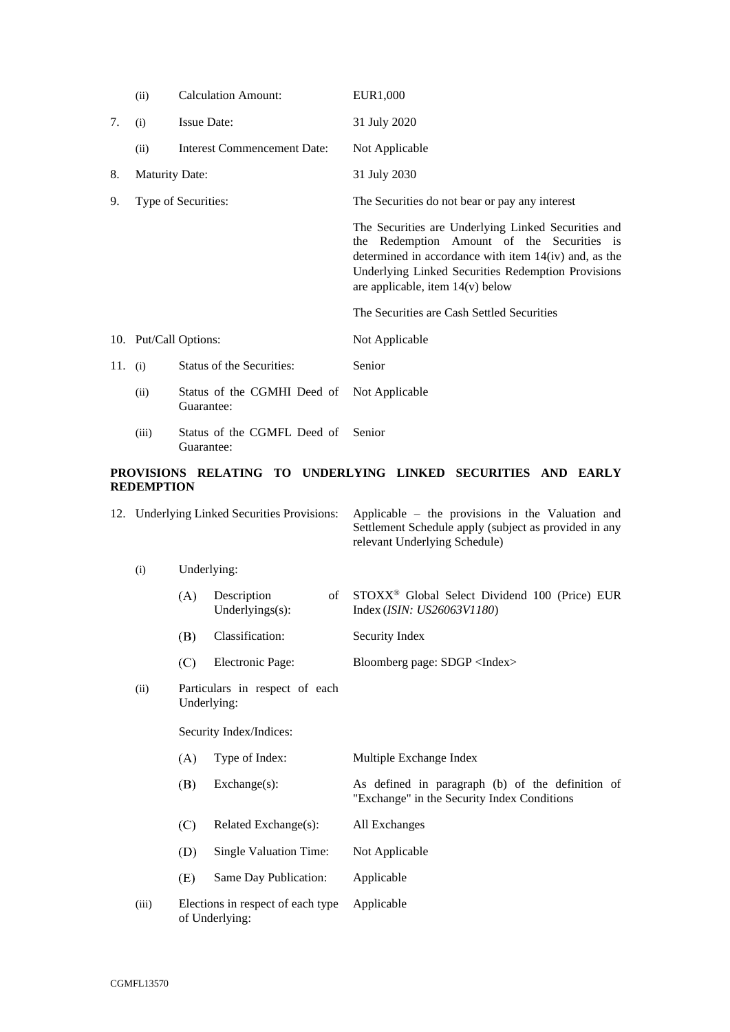|         | (ii)                  |                                           | <b>Calculation Amount:</b>                                                    | EUR1,000                                                                                                                                                                                                                                                 |  |  |  |  |
|---------|-----------------------|-------------------------------------------|-------------------------------------------------------------------------------|----------------------------------------------------------------------------------------------------------------------------------------------------------------------------------------------------------------------------------------------------------|--|--|--|--|
| 7.      | (i)                   | <b>Issue Date:</b>                        |                                                                               | 31 July 2020                                                                                                                                                                                                                                             |  |  |  |  |
|         | (ii)                  |                                           | Interest Commencement Date:                                                   | Not Applicable                                                                                                                                                                                                                                           |  |  |  |  |
| 8.      | <b>Maturity Date:</b> |                                           |                                                                               | 31 July 2030                                                                                                                                                                                                                                             |  |  |  |  |
| 9.      | Type of Securities:   |                                           |                                                                               | The Securities do not bear or pay any interest                                                                                                                                                                                                           |  |  |  |  |
|         |                       |                                           |                                                                               | The Securities are Underlying Linked Securities and<br>the Redemption Amount of the Securities is<br>determined in accordance with item $14(iv)$ and, as the<br>Underlying Linked Securities Redemption Provisions<br>are applicable, item $14(v)$ below |  |  |  |  |
|         |                       |                                           |                                                                               | The Securities are Cash Settled Securities                                                                                                                                                                                                               |  |  |  |  |
|         | 10. Put/Call Options: |                                           |                                                                               | Not Applicable                                                                                                                                                                                                                                           |  |  |  |  |
| 11. (i) |                       |                                           | Status of the Securities:                                                     | Senior                                                                                                                                                                                                                                                   |  |  |  |  |
|         | (ii)                  | Status of the CGMHI Deed of<br>Guarantee: |                                                                               | Not Applicable                                                                                                                                                                                                                                           |  |  |  |  |
|         | (iii)                 | Guarantee:                                | Status of the CGMFL Deed of                                                   | Senior                                                                                                                                                                                                                                                   |  |  |  |  |
|         | <b>REDEMPTION</b>     |                                           |                                                                               | PROVISIONS RELATING TO UNDERLYING LINKED SECURITIES AND EARLY                                                                                                                                                                                            |  |  |  |  |
|         |                       |                                           | 12. Underlying Linked Securities Provisions:                                  | Applicable – the provisions in the Valuation and<br>Settlement Schedule apply (subject as provided in any<br>relevant Underlying Schedule)                                                                                                               |  |  |  |  |
|         | (i)                   | Underlying:                               |                                                                               |                                                                                                                                                                                                                                                          |  |  |  |  |
|         |                       | (A)                                       | Description<br>of<br>Underlyings(s):                                          | STOXX® Global Select Dividend 100 (Price) EUR<br>Index (ISIN: US26063V1180)                                                                                                                                                                              |  |  |  |  |
|         |                       | (B)                                       | Classification:                                                               | Security Index                                                                                                                                                                                                                                           |  |  |  |  |
|         |                       | (C)                                       | Electronic Page:                                                              | Bloomberg page: SDGP <index></index>                                                                                                                                                                                                                     |  |  |  |  |
|         |                       |                                           | $\mathbf{D}$ $\mathbf{A}$ $\mathbf{A}$ $\mathbf{A}$ $\mathbf{A}$ $\mathbf{A}$ |                                                                                                                                                                                                                                                          |  |  |  |  |

(ii) Particulars in respect of each Underlying:

Security Index/Indices:

| A)  | Type of Index:                                      | Multiple Exchange Index                                                                         |
|-----|-----------------------------------------------------|-------------------------------------------------------------------------------------------------|
| B)  | $Exchange(s)$ :                                     | As defined in paragraph (b) of the definition of<br>"Exchange" in the Security Index Conditions |
| (C) | Related Exchange $(s)$ :                            | All Exchanges                                                                                   |
| (D) | Single Valuation Time:                              | Not Applicable                                                                                  |
| (E) | Same Day Publication:                               | Applicable                                                                                      |
|     | Elections in respect of each type<br>of Underlying: | Applicable                                                                                      |

 $(iii)$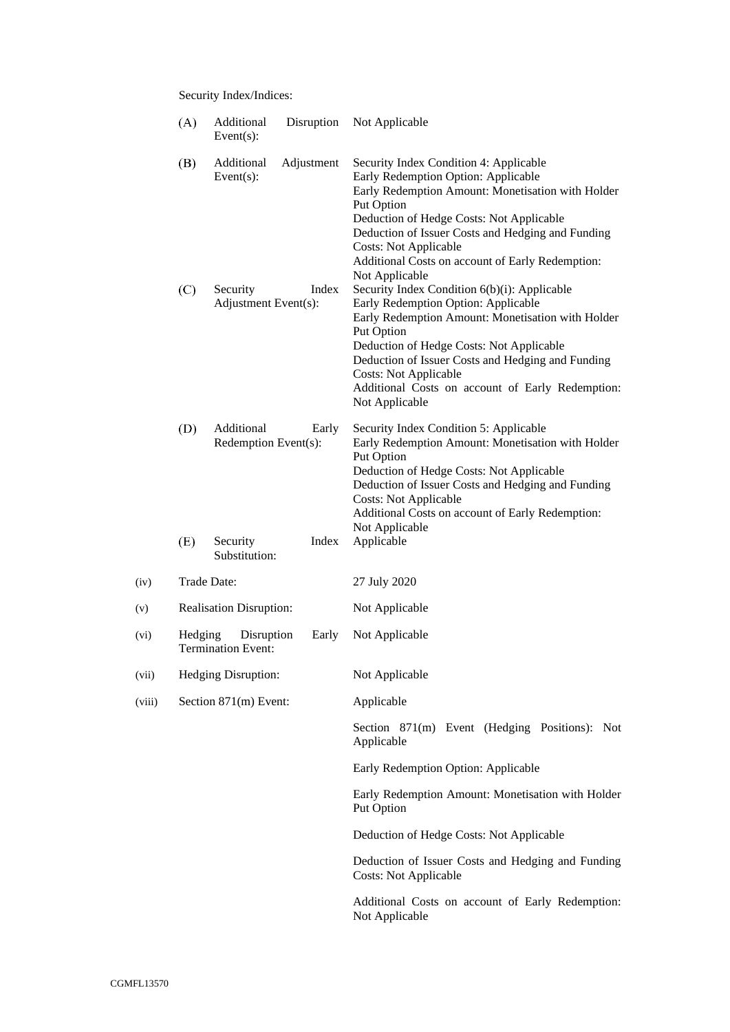Security Index/Indices:

|        | (A)        | Additional<br>Event $(s)$ :                                     | Disruption          | Not Applicable                                                                                                                                                                                                                                                                                                                                                                                                                                                                                                                                                                                                                                                                                                           |  |  |
|--------|------------|-----------------------------------------------------------------|---------------------|--------------------------------------------------------------------------------------------------------------------------------------------------------------------------------------------------------------------------------------------------------------------------------------------------------------------------------------------------------------------------------------------------------------------------------------------------------------------------------------------------------------------------------------------------------------------------------------------------------------------------------------------------------------------------------------------------------------------------|--|--|
|        | (B)<br>(C) | Additional<br>Event $(s)$ :<br>Security<br>Adjustment Event(s): | Adjustment<br>Index | Security Index Condition 4: Applicable<br>Early Redemption Option: Applicable<br>Early Redemption Amount: Monetisation with Holder<br>Put Option<br>Deduction of Hedge Costs: Not Applicable<br>Deduction of Issuer Costs and Hedging and Funding<br><b>Costs: Not Applicable</b><br>Additional Costs on account of Early Redemption:<br>Not Applicable<br>Security Index Condition 6(b)(i): Applicable<br>Early Redemption Option: Applicable<br>Early Redemption Amount: Monetisation with Holder<br>Put Option<br>Deduction of Hedge Costs: Not Applicable<br>Deduction of Issuer Costs and Hedging and Funding<br><b>Costs: Not Applicable</b><br>Additional Costs on account of Early Redemption:<br>Not Applicable |  |  |
|        | (D)<br>(E) | Additional<br>Redemption Event(s):<br>Security                  | Early<br>Index      | Security Index Condition 5: Applicable<br>Early Redemption Amount: Monetisation with Holder<br>Put Option<br>Deduction of Hedge Costs: Not Applicable<br>Deduction of Issuer Costs and Hedging and Funding<br><b>Costs: Not Applicable</b><br>Additional Costs on account of Early Redemption:<br>Not Applicable<br>Applicable                                                                                                                                                                                                                                                                                                                                                                                           |  |  |
|        |            | Substitution:                                                   |                     |                                                                                                                                                                                                                                                                                                                                                                                                                                                                                                                                                                                                                                                                                                                          |  |  |
| (iv)   |            | Trade Date:                                                     |                     | 27 July 2020                                                                                                                                                                                                                                                                                                                                                                                                                                                                                                                                                                                                                                                                                                             |  |  |
| (v)    |            | Realisation Disruption:                                         |                     | Not Applicable                                                                                                                                                                                                                                                                                                                                                                                                                                                                                                                                                                                                                                                                                                           |  |  |
| (vi)   | Hedging    | Disruption<br><b>Termination Event:</b>                         | Early               | Not Applicable                                                                                                                                                                                                                                                                                                                                                                                                                                                                                                                                                                                                                                                                                                           |  |  |
| (vii)  |            | Hedging Disruption:                                             |                     | Not Applicable                                                                                                                                                                                                                                                                                                                                                                                                                                                                                                                                                                                                                                                                                                           |  |  |
| (viii) |            | Section 871(m) Event:                                           |                     | Applicable                                                                                                                                                                                                                                                                                                                                                                                                                                                                                                                                                                                                                                                                                                               |  |  |
|        |            |                                                                 |                     | Section 871(m) Event (Hedging Positions): Not<br>Applicable                                                                                                                                                                                                                                                                                                                                                                                                                                                                                                                                                                                                                                                              |  |  |
|        |            |                                                                 |                     | Early Redemption Option: Applicable                                                                                                                                                                                                                                                                                                                                                                                                                                                                                                                                                                                                                                                                                      |  |  |
|        |            |                                                                 |                     | Early Redemption Amount: Monetisation with Holder<br>Put Option                                                                                                                                                                                                                                                                                                                                                                                                                                                                                                                                                                                                                                                          |  |  |
|        |            |                                                                 |                     | Deduction of Hedge Costs: Not Applicable                                                                                                                                                                                                                                                                                                                                                                                                                                                                                                                                                                                                                                                                                 |  |  |
|        |            |                                                                 |                     | Deduction of Issuer Costs and Hedging and Funding<br><b>Costs: Not Applicable</b>                                                                                                                                                                                                                                                                                                                                                                                                                                                                                                                                                                                                                                        |  |  |
|        |            |                                                                 |                     | Additional Costs on account of Early Redemption:<br>Not Applicable                                                                                                                                                                                                                                                                                                                                                                                                                                                                                                                                                                                                                                                       |  |  |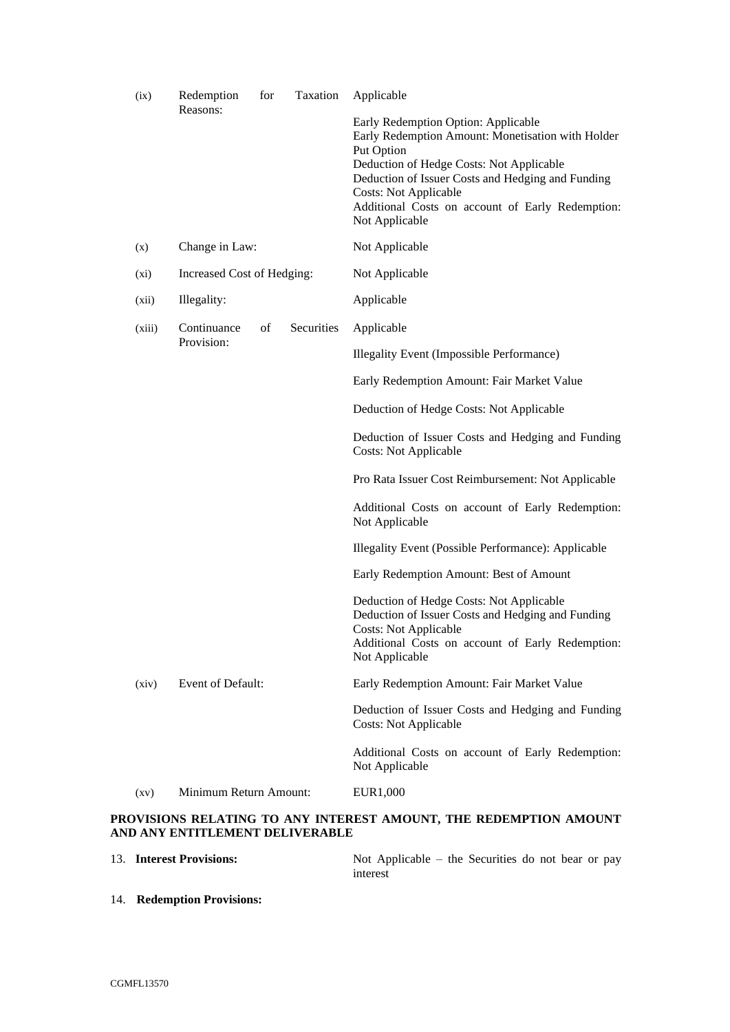| (ix)    | Redemption<br>Reasons:     | for | Taxation   | Applicable                                                                                                                                                                                                                                                                                                    |  |  |  |
|---------|----------------------------|-----|------------|---------------------------------------------------------------------------------------------------------------------------------------------------------------------------------------------------------------------------------------------------------------------------------------------------------------|--|--|--|
|         |                            |     |            | Early Redemption Option: Applicable<br>Early Redemption Amount: Monetisation with Holder<br>Put Option<br>Deduction of Hedge Costs: Not Applicable<br>Deduction of Issuer Costs and Hedging and Funding<br><b>Costs: Not Applicable</b><br>Additional Costs on account of Early Redemption:<br>Not Applicable |  |  |  |
| (x)     | Change in Law:             |     |            | Not Applicable                                                                                                                                                                                                                                                                                                |  |  |  |
| $(x_i)$ | Increased Cost of Hedging: |     |            | Not Applicable                                                                                                                                                                                                                                                                                                |  |  |  |
| (xii)   | Illegality:                |     |            | Applicable                                                                                                                                                                                                                                                                                                    |  |  |  |
| (xiii)  | Continuance                | of  | Securities | Applicable                                                                                                                                                                                                                                                                                                    |  |  |  |
|         | Provision:                 |     |            | <b>Illegality Event (Impossible Performance)</b>                                                                                                                                                                                                                                                              |  |  |  |
|         |                            |     |            | Early Redemption Amount: Fair Market Value                                                                                                                                                                                                                                                                    |  |  |  |
|         |                            |     |            | Deduction of Hedge Costs: Not Applicable                                                                                                                                                                                                                                                                      |  |  |  |
|         |                            |     |            | Deduction of Issuer Costs and Hedging and Funding<br><b>Costs: Not Applicable</b>                                                                                                                                                                                                                             |  |  |  |
|         |                            |     |            | Pro Rata Issuer Cost Reimbursement: Not Applicable                                                                                                                                                                                                                                                            |  |  |  |
|         |                            |     |            | Additional Costs on account of Early Redemption:<br>Not Applicable                                                                                                                                                                                                                                            |  |  |  |
|         |                            |     |            | Illegality Event (Possible Performance): Applicable                                                                                                                                                                                                                                                           |  |  |  |
|         |                            |     |            | Early Redemption Amount: Best of Amount                                                                                                                                                                                                                                                                       |  |  |  |
|         |                            |     |            | Deduction of Hedge Costs: Not Applicable<br>Deduction of Issuer Costs and Hedging and Funding<br><b>Costs: Not Applicable</b><br>Additional Costs on account of Early Redemption:<br>Not Applicable                                                                                                           |  |  |  |
| (xiv)   | Event of Default:          |     |            | Early Redemption Amount: Fair Market Value                                                                                                                                                                                                                                                                    |  |  |  |
|         |                            |     |            | Deduction of Issuer Costs and Hedging and Funding<br><b>Costs: Not Applicable</b>                                                                                                                                                                                                                             |  |  |  |
|         |                            |     |            | Additional Costs on account of Early Redemption:<br>Not Applicable                                                                                                                                                                                                                                            |  |  |  |
| (xy)    | Minimum Return Amount:     |     |            | EUR1,000                                                                                                                                                                                                                                                                                                      |  |  |  |

# **PROVISIONS RELATING TO ANY INTEREST AMOUNT, THE REDEMPTION AMOUNT AND ANY ENTITLEMENT DELIVERABLE**

| 13. Interest Provisions: |          | Not Applicable – the Securities do not bear or pay |  |  |  |  |
|--------------------------|----------|----------------------------------------------------|--|--|--|--|
|                          | interest |                                                    |  |  |  |  |

14. **Redemption Provisions:**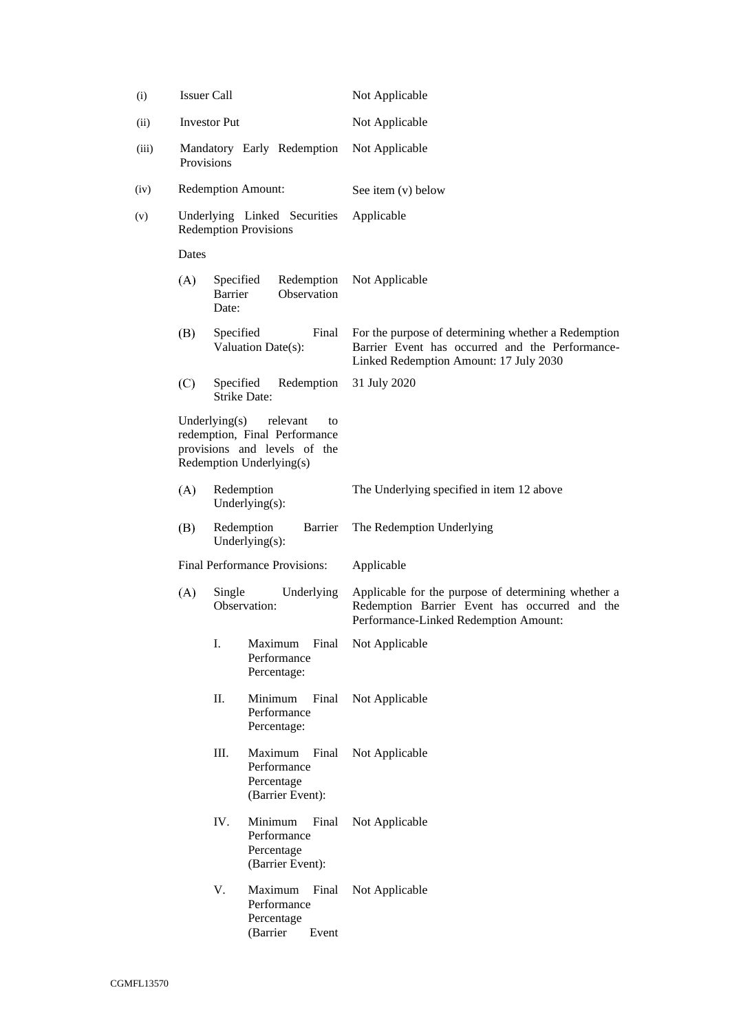<span id="page-21-1"></span><span id="page-21-0"></span>

| (i)   |       | <b>Issuer Call</b>               |                                                                                                             | Not Applicable                                                                                                                                   |  |  |
|-------|-------|----------------------------------|-------------------------------------------------------------------------------------------------------------|--------------------------------------------------------------------------------------------------------------------------------------------------|--|--|
| (ii)  |       | <b>Investor Put</b>              |                                                                                                             | Not Applicable                                                                                                                                   |  |  |
| (iii) |       | Provisions                       | Mandatory Early Redemption                                                                                  | Not Applicable                                                                                                                                   |  |  |
| (iv)  |       |                                  | <b>Redemption Amount:</b>                                                                                   | See item (v) below                                                                                                                               |  |  |
| (v)   |       |                                  | Underlying Linked Securities<br><b>Redemption Provisions</b>                                                | Applicable                                                                                                                                       |  |  |
|       | Dates |                                  |                                                                                                             |                                                                                                                                                  |  |  |
|       | (A)   | Specified<br>Barrier<br>Date:    | Redemption<br>Observation                                                                                   | Not Applicable                                                                                                                                   |  |  |
|       | (B)   | Specified                        | Final<br>Valuation Date(s):                                                                                 | For the purpose of determining whether a Redemption<br>Barrier Event has occurred and the Performance-<br>Linked Redemption Amount: 17 July 2030 |  |  |
|       | (C)   | Specified                        | Redemption<br><b>Strike Date:</b>                                                                           | 31 July 2020                                                                                                                                     |  |  |
|       |       | Underlying $(s)$                 | relevant<br>to<br>redemption, Final Performance<br>provisions and levels of the<br>Redemption Underlying(s) |                                                                                                                                                  |  |  |
|       | (A)   | Redemption<br>Underlying $(s)$ : |                                                                                                             | The Underlying specified in item 12 above                                                                                                        |  |  |
|       | (B)   |                                  | Redemption<br>Barrier<br>Underlying $(s)$ :                                                                 | The Redemption Underlying                                                                                                                        |  |  |
|       |       |                                  | Final Performance Provisions:                                                                               | Applicable                                                                                                                                       |  |  |
|       | (A)   | Single                           | Underlying<br>Observation:                                                                                  | Applicable for the purpose of determining whether a<br>Redemption Barrier Event has occurred and the<br>Performance-Linked Redemption Amount:    |  |  |
|       |       | I.                               | Maximum<br>Final<br>Performance<br>Percentage:                                                              | Not Applicable                                                                                                                                   |  |  |
|       |       | Π.                               | Minimum<br>Final<br>Performance<br>Percentage:                                                              | Not Applicable                                                                                                                                   |  |  |
|       |       | Ш.                               | Maximum<br>Final<br>Performance<br>Percentage<br>(Barrier Event):                                           | Not Applicable                                                                                                                                   |  |  |
|       |       | IV.                              | Minimum<br>Final<br>Performance<br>Percentage<br>(Barrier Event):                                           | Not Applicable                                                                                                                                   |  |  |
|       |       | V.                               | Maximum<br>Final<br>Performance<br>Percentage<br>(Barrier<br>Event                                          | Not Applicable                                                                                                                                   |  |  |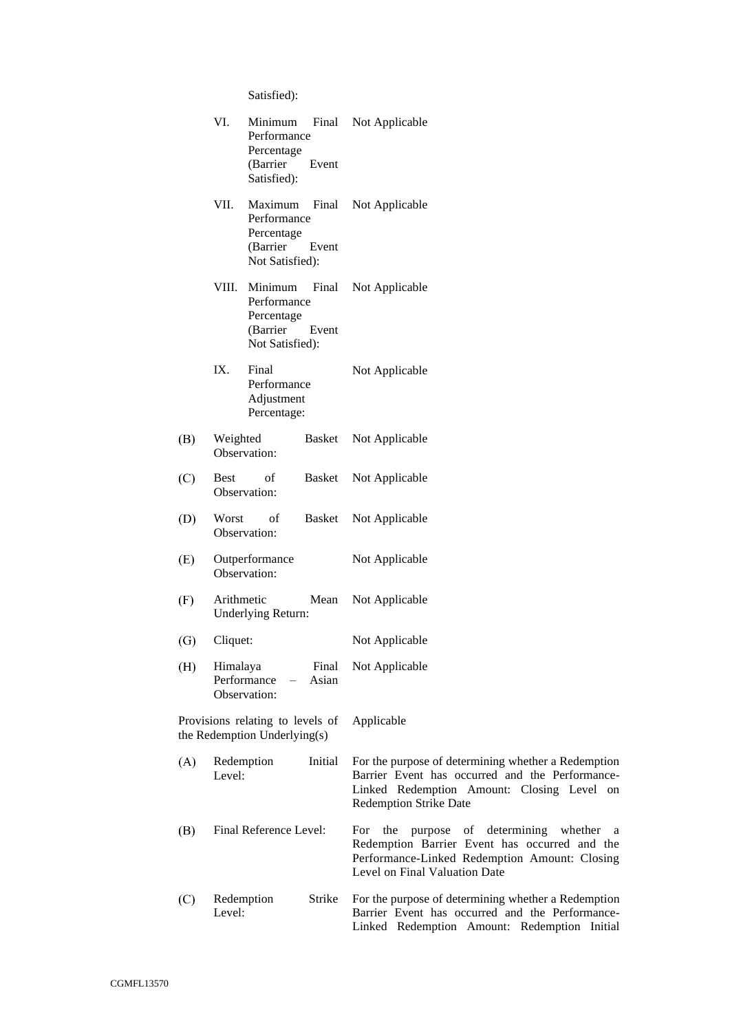Satisfied):

|     | VI.         | Minimum<br>Performance<br>Percentage<br>(Barrier<br>Satisfied):     | Final<br>Event | Not Applicable                                                                                                                                                                          |
|-----|-------------|---------------------------------------------------------------------|----------------|-----------------------------------------------------------------------------------------------------------------------------------------------------------------------------------------|
|     | VII.        | Maximum<br>Performance<br>Percentage<br>(Barrier<br>Not Satisfied): | Final<br>Event | Not Applicable                                                                                                                                                                          |
|     | VIII.       | Minimum<br>Performance<br>Percentage<br>(Barrier<br>Not Satisfied): | Final<br>Event | Not Applicable                                                                                                                                                                          |
|     | IX.         | Final<br>Performance<br>Adjustment<br>Percentage:                   |                | Not Applicable                                                                                                                                                                          |
| (B) | Weighted    | Observation:                                                        | Basket         | Not Applicable                                                                                                                                                                          |
| (C) | <b>Best</b> | of<br>Observation:                                                  | Basket         | Not Applicable                                                                                                                                                                          |
| (D) | Worst       | of<br>Observation:                                                  | Basket         | Not Applicable                                                                                                                                                                          |
| (E) |             | Outperformance<br>Observation:                                      |                | Not Applicable                                                                                                                                                                          |
| (F) | Arithmetic  | Underlying Return:                                                  | Mean           | Not Applicable                                                                                                                                                                          |
| (G) | Cliquet:    |                                                                     |                | Not Applicable                                                                                                                                                                          |
| (H) | Himalaya    | Performance<br>$\sim$ $-$<br>Observation:                           | Asian          | Final Not Applicable                                                                                                                                                                    |
|     |             | Provisions relating to levels of<br>the Redemption Underlying(s)    |                | Applicable                                                                                                                                                                              |
| (A) | Level:      | Redemption                                                          | Initial        | For the purpose of determining whether a Redemption<br>Barrier Event has occurred and the Performance-<br>Linked Redemption Amount: Closing Level on<br><b>Redemption Strike Date</b>   |
| (B) |             | Final Reference Level:                                              |                | the<br>of determining<br>For<br>purpose<br>whether a<br>Redemption Barrier Event has occurred and the<br>Performance-Linked Redemption Amount: Closing<br>Level on Final Valuation Date |
| (C) | Level:      | Redemption                                                          | Strike         | For the purpose of determining whether a Redemption<br>Barrier Event has occurred and the Performance-<br>Linked Redemption Amount: Redemption Initial                                  |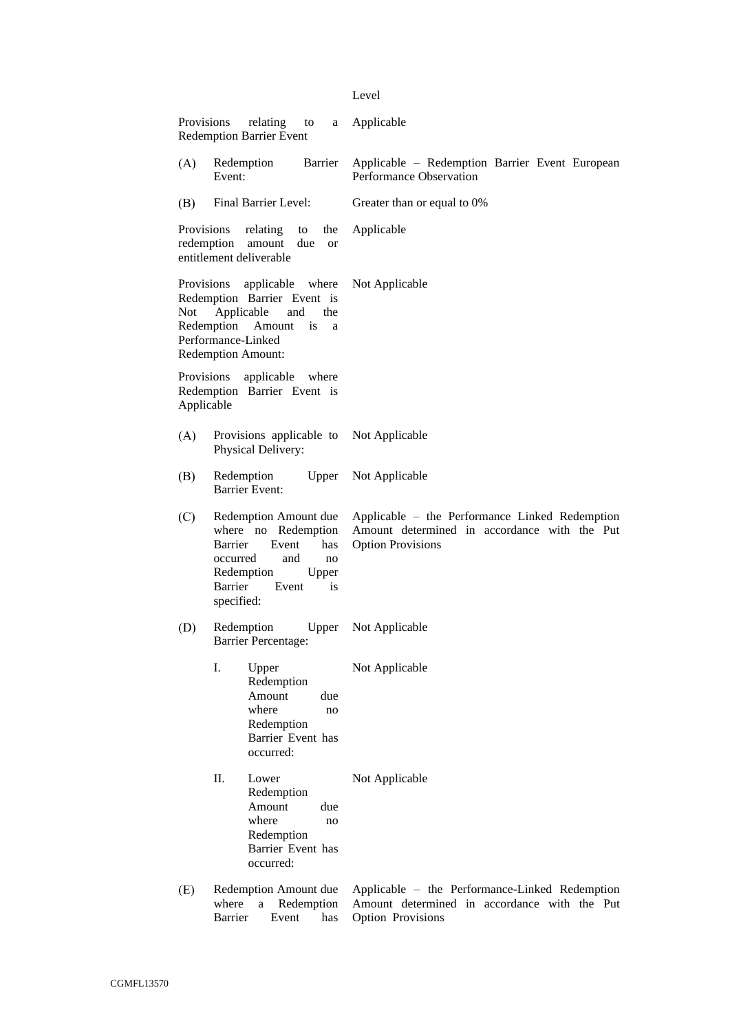#### Level

| Provisions               | relating<br>to<br>a<br><b>Redemption Barrier Event</b>                                                                                                                 | Applicable                                                                                                                 |  |  |  |  |
|--------------------------|------------------------------------------------------------------------------------------------------------------------------------------------------------------------|----------------------------------------------------------------------------------------------------------------------------|--|--|--|--|
| (A)                      | Redemption<br>Barrier<br>Event:                                                                                                                                        | Applicable - Redemption Barrier Event European<br>Performance Observation                                                  |  |  |  |  |
| (B)                      | Final Barrier Level:                                                                                                                                                   | Greater than or equal to 0%                                                                                                |  |  |  |  |
| Provisions<br>redemption | relating<br>the<br>to<br>amount<br>due<br><sub>or</sub><br>entitlement deliverable                                                                                     | Applicable                                                                                                                 |  |  |  |  |
| <b>Provisions</b><br>Not | applicable where<br>Redemption Barrier Event is<br>Applicable<br>and<br>the<br>Redemption<br>Amount<br>is<br>a<br>Performance-Linked<br><b>Redemption Amount:</b>      | Not Applicable                                                                                                             |  |  |  |  |
| Provisions<br>Applicable | applicable<br>where<br>Redemption Barrier Event is                                                                                                                     |                                                                                                                            |  |  |  |  |
| (A)                      | Provisions applicable to<br>Physical Delivery:                                                                                                                         | Not Applicable                                                                                                             |  |  |  |  |
| (B)                      | Redemption<br>Upper<br><b>Barrier Event:</b>                                                                                                                           | Not Applicable                                                                                                             |  |  |  |  |
| (C)                      | Redemption Amount due<br>where no Redemption<br>Barrier<br>Event<br>has<br>occurred<br>and<br>no<br>Redemption<br>Upper<br><b>Barrier</b><br>Event<br>is<br>specified: | Applicable – the Performance Linked Redemption<br>Amount determined in accordance with the Put<br><b>Option Provisions</b> |  |  |  |  |
| (D)                      | Redemption<br>Upper<br><b>Barrier Percentage:</b>                                                                                                                      | Not Applicable                                                                                                             |  |  |  |  |
|                          | I.<br>Upper<br>Redemption<br>Amount<br>due<br>where<br>no<br>Redemption<br>Barrier Event has<br>occurred:                                                              | Not Applicable                                                                                                             |  |  |  |  |
|                          | II.<br>Lower<br>Redemption<br>Amount<br>due<br>where<br>no<br>Redemption<br>Barrier Event has<br>occurred:                                                             | Not Applicable                                                                                                             |  |  |  |  |
| (E)                      | Redemption Amount due<br>Redemption<br>where<br>$\mathbf{a}$                                                                                                           | Applicable – the Performance-Linked Redemption<br>Amount determined in accordance with the Put                             |  |  |  |  |

Barrier Event has Option Provisions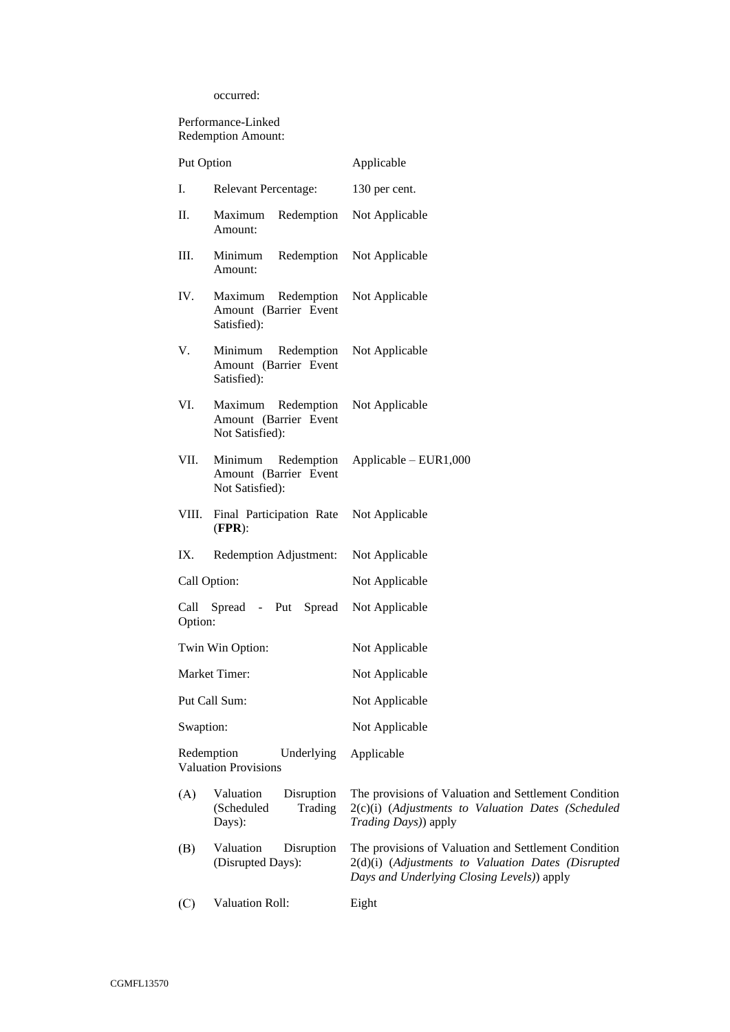occurred:

Performance-Linked Redemption Amount:

| Put Option   |                                                                   | Applicable                                                                                                                                               |
|--------------|-------------------------------------------------------------------|----------------------------------------------------------------------------------------------------------------------------------------------------------|
| Ι.           | <b>Relevant Percentage:</b>                                       | 130 per cent.                                                                                                                                            |
| П.           | Redemption<br>Maximum<br>Amount:                                  | Not Applicable                                                                                                                                           |
| Ш.           | Redemption<br>Minimum<br>Amount:                                  | Not Applicable                                                                                                                                           |
| IV.          | Redemption<br>Maximum<br>Amount (Barrier Event<br>Satisfied):     | Not Applicable                                                                                                                                           |
| V.           | Minimum<br>Redemption<br>Amount (Barrier Event<br>Satisfied):     | Not Applicable                                                                                                                                           |
| VI.          | Maximum<br>Redemption<br>Amount (Barrier Event<br>Not Satisfied): | Not Applicable                                                                                                                                           |
| VII.         | Minimum<br>Redemption<br>Amount (Barrier Event<br>Not Satisfied): | $Applicable - EUR1,000$                                                                                                                                  |
| VIII.        | Final Participation Rate<br>$(FPR)$ :                             | Not Applicable                                                                                                                                           |
| IX.          | Redemption Adjustment:                                            | Not Applicable                                                                                                                                           |
| Call Option: |                                                                   | Not Applicable                                                                                                                                           |
| Option:      | Call Spread - Put Spread                                          | Not Applicable                                                                                                                                           |
|              | Twin Win Option:                                                  | Not Applicable                                                                                                                                           |
|              | Market Timer:                                                     | Not Applicable                                                                                                                                           |
|              | Put Call Sum:                                                     | Not Applicable                                                                                                                                           |
| Swaption:    |                                                                   | Not Applicable                                                                                                                                           |
| Redemption   | Underlying<br><b>Valuation Provisions</b>                         | Applicable                                                                                                                                               |
| (A)          | Valuation<br>Disruption<br>Trading<br>(Scheduled<br>Days):        | The provisions of Valuation and Settlement Condition<br>2(c)(i) (Adjustments to Valuation Dates (Scheduled<br>Trading Days)) apply                       |
| (B)          | Valuation<br>Disruption<br>(Disrupted Days):                      | The provisions of Valuation and Settlement Condition<br>2(d)(i) (Adjustments to Valuation Dates (Disrupted<br>Days and Underlying Closing Levels)) apply |
| (C)          | <b>Valuation Roll:</b>                                            | Eight                                                                                                                                                    |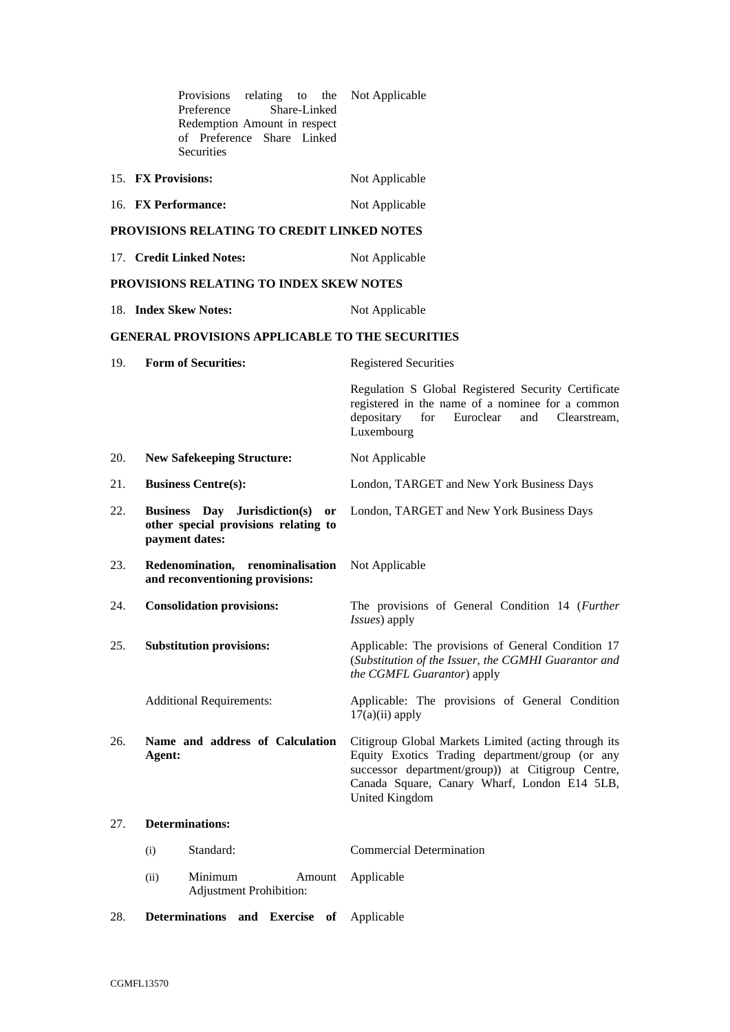|     | Provisions<br>relating to the<br>Preference<br>Share-Linked<br>Redemption Amount in respect<br>of Preference Share Linked<br><b>Securities</b> | Not Applicable                                                                                                                                                                                                                 |
|-----|------------------------------------------------------------------------------------------------------------------------------------------------|--------------------------------------------------------------------------------------------------------------------------------------------------------------------------------------------------------------------------------|
|     | 15. FX Provisions:                                                                                                                             | Not Applicable                                                                                                                                                                                                                 |
|     | 16. FX Performance:                                                                                                                            | Not Applicable                                                                                                                                                                                                                 |
|     | PROVISIONS RELATING TO CREDIT LINKED NOTES                                                                                                     |                                                                                                                                                                                                                                |
|     | 17. Credit Linked Notes:                                                                                                                       | Not Applicable                                                                                                                                                                                                                 |
|     | PROVISIONS RELATING TO INDEX SKEW NOTES                                                                                                        |                                                                                                                                                                                                                                |
|     | 18. Index Skew Notes:                                                                                                                          | Not Applicable                                                                                                                                                                                                                 |
|     | <b>GENERAL PROVISIONS APPLICABLE TO THE SECURITIES</b>                                                                                         |                                                                                                                                                                                                                                |
| 19. | <b>Form of Securities:</b>                                                                                                                     | <b>Registered Securities</b>                                                                                                                                                                                                   |
|     |                                                                                                                                                | Regulation S Global Registered Security Certificate<br>registered in the name of a nominee for a common<br>depositary<br>Euroclear<br>for<br>and<br>Clearstream.<br>Luxembourg                                                 |
| 20. | <b>New Safekeeping Structure:</b>                                                                                                              | Not Applicable                                                                                                                                                                                                                 |
| 21. | <b>Business Centre(s):</b>                                                                                                                     | London, TARGET and New York Business Days                                                                                                                                                                                      |
| 22. | Business Day Jurisdiction(s) or<br>other special provisions relating to<br>payment dates:                                                      | London, TARGET and New York Business Days                                                                                                                                                                                      |
| 23. | Redenomination, renominalisation<br>and reconventioning provisions:                                                                            | Not Applicable                                                                                                                                                                                                                 |
| 24. | <b>Consolidation provisions:</b>                                                                                                               | The provisions of General Condition 14 (Further<br>Issues) apply                                                                                                                                                               |
| 25. | <b>Substitution provisions:</b>                                                                                                                | Applicable: The provisions of General Condition 17<br>(Substitution of the Issuer, the CGMHI Guarantor and<br>the CGMFL Guarantor) apply                                                                                       |
|     | <b>Additional Requirements:</b>                                                                                                                | Applicable: The provisions of General Condition<br>$17(a)(ii)$ apply                                                                                                                                                           |
| 26. | Name and address of Calculation<br>Agent:                                                                                                      | Citigroup Global Markets Limited (acting through its<br>Equity Exotics Trading department/group (or any<br>successor department/group)) at Citigroup Centre,<br>Canada Square, Canary Wharf, London E14 5LB,<br>United Kingdom |
| 27. | <b>Determinations:</b>                                                                                                                         |                                                                                                                                                                                                                                |
|     | Standard:<br>(i)                                                                                                                               | <b>Commercial Determination</b>                                                                                                                                                                                                |
|     | Minimum<br>(ii)<br>Amount<br><b>Adjustment Prohibition:</b>                                                                                    | Applicable                                                                                                                                                                                                                     |

28. **Determinations and Exercise of** Applicable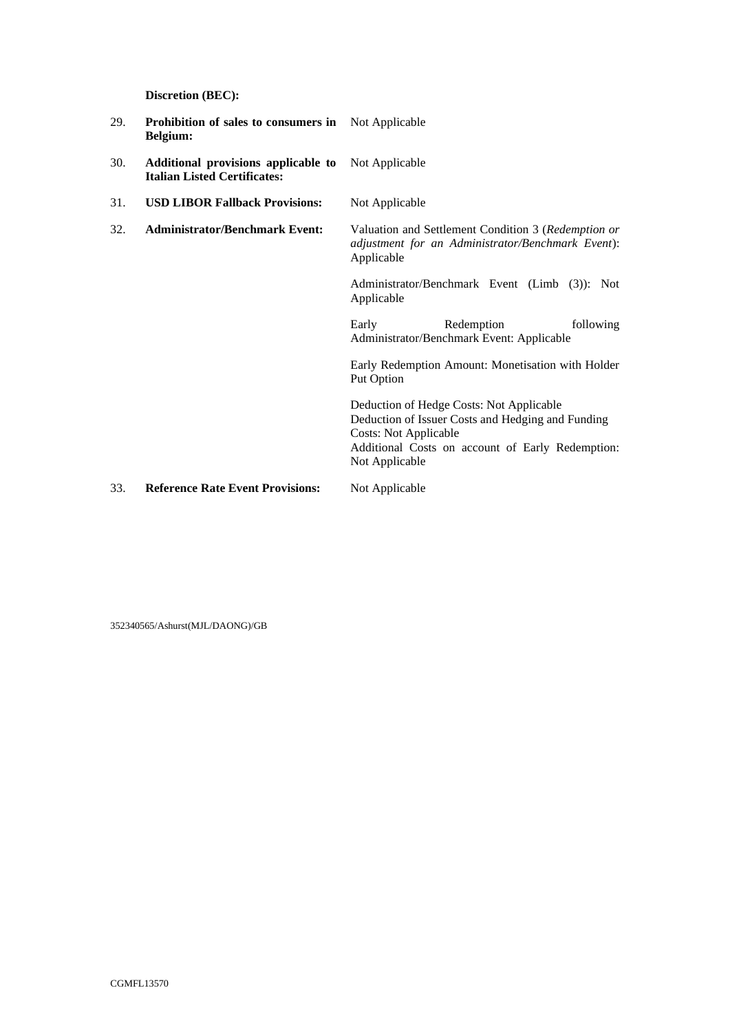**Discretion (BEC):**

| 29. | <b>Prohibition of sales to consumers in</b> Not Applicable<br>Belgium:     |                                                                                                                                                                                                     |
|-----|----------------------------------------------------------------------------|-----------------------------------------------------------------------------------------------------------------------------------------------------------------------------------------------------|
| 30. | Additional provisions applicable to<br><b>Italian Listed Certificates:</b> | Not Applicable                                                                                                                                                                                      |
| 31. | <b>USD LIBOR Fallback Provisions:</b>                                      | Not Applicable                                                                                                                                                                                      |
| 32. | <b>Administrator/Benchmark Event:</b>                                      | Valuation and Settlement Condition 3 (Redemption or<br>adjustment for an Administrator/Benchmark Event):<br>Applicable                                                                              |
|     |                                                                            | Administrator/Benchmark Event (Limb (3)): Not<br>Applicable                                                                                                                                         |
|     |                                                                            | Redemption<br>following<br>Early<br>Administrator/Benchmark Event: Applicable                                                                                                                       |
|     |                                                                            | Early Redemption Amount: Monetisation with Holder<br>Put Option                                                                                                                                     |
|     |                                                                            | Deduction of Hedge Costs: Not Applicable<br>Deduction of Issuer Costs and Hedging and Funding<br><b>Costs: Not Applicable</b><br>Additional Costs on account of Early Redemption:<br>Not Applicable |
| 33. | <b>Reference Rate Event Provisions:</b>                                    | Not Applicable                                                                                                                                                                                      |

352340565/Ashurst(MJL/DAONG)/GB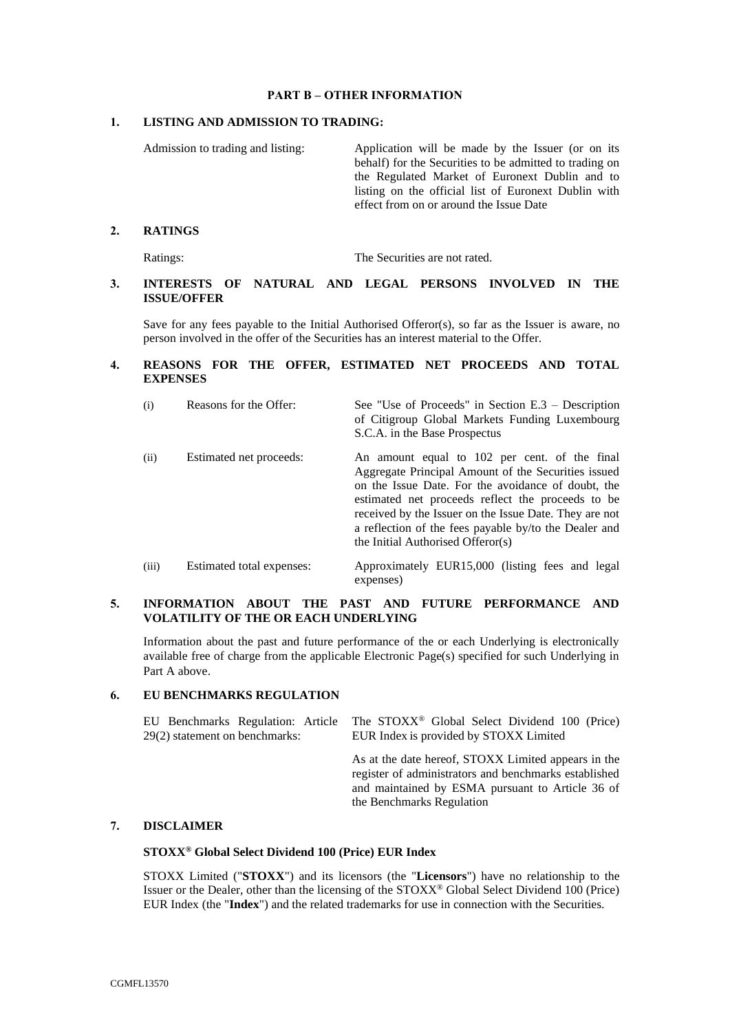## **PART B – OTHER INFORMATION**

## <span id="page-28-0"></span>**1. LISTING AND ADMISSION TO TRADING:**

Admission to trading and listing: Application will be made by the Issuer (or on its behalf) for the Securities to be admitted to trading on the Regulated Market of Euronext Dublin and to listing on the official list of Euronext Dublin with effect from on or around the Issue Date

### **2. RATINGS**

Ratings: The Securities are not rated.

## **3. INTERESTS OF NATURAL AND LEGAL PERSONS INVOLVED IN THE ISSUE/OFFER**

Save for any fees payable to the Initial Authorised Offeror(s), so far as the Issuer is aware, no person involved in the offer of the Securities has an interest material to the Offer.

# **4. REASONS FOR THE OFFER, ESTIMATED NET PROCEEDS AND TOTAL EXPENSES**

| (i)   | Reasons for the Offer:    | See "Use of Proceeds" in Section $E.3$ – Description<br>of Citigroup Global Markets Funding Luxembourg<br>S.C.A. in the Base Prospectus                                                                                                                                                                                                                                 |  |  |  |  |
|-------|---------------------------|-------------------------------------------------------------------------------------------------------------------------------------------------------------------------------------------------------------------------------------------------------------------------------------------------------------------------------------------------------------------------|--|--|--|--|
| (ii)  | Estimated net proceeds:   | An amount equal to 102 per cent. of the final<br>Aggregate Principal Amount of the Securities issued<br>on the Issue Date. For the avoidance of doubt, the<br>estimated net proceeds reflect the proceeds to be<br>received by the Issuer on the Issue Date. They are not<br>a reflection of the fees payable by/to the Dealer and<br>the Initial Authorised Offeror(s) |  |  |  |  |
| (iii) | Estimated total expenses: | Approximately EUR15,000 (listing fees and legal                                                                                                                                                                                                                                                                                                                         |  |  |  |  |

## **5. INFORMATION ABOUT THE PAST AND FUTURE PERFORMANCE AND VOLATILITY OF THE OR EACH UNDERLYING**

expenses)

Information about the past and future performance of the or each Underlying is electronically available free of charge from the applicable Electronic Page(s) specified for such Underlying in [Part A above.](#page-17-0)

### **6. EU BENCHMARKS REGULATION**

EU Benchmarks Regulation: Article 29(2) statement on benchmarks: The STOXX® Global Select Dividend 100 (Price) EUR Index is provided by STOXX Limited

> As at the date hereof, STOXX Limited appears in the register of administrators and benchmarks established and maintained by ESMA pursuant to Article 36 of the Benchmarks Regulation

# **7. DISCLAIMER**

### **STOXX® Global Select Dividend 100 (Price) EUR Index**

STOXX Limited ("**STOXX**") and its licensors (the "**Licensors**") have no relationship to the Issuer or the Dealer, other than the licensing of the STOXX® Global Select Dividend 100 (Price) EUR Index (the "**Index**") and the related trademarks for use in connection with the Securities.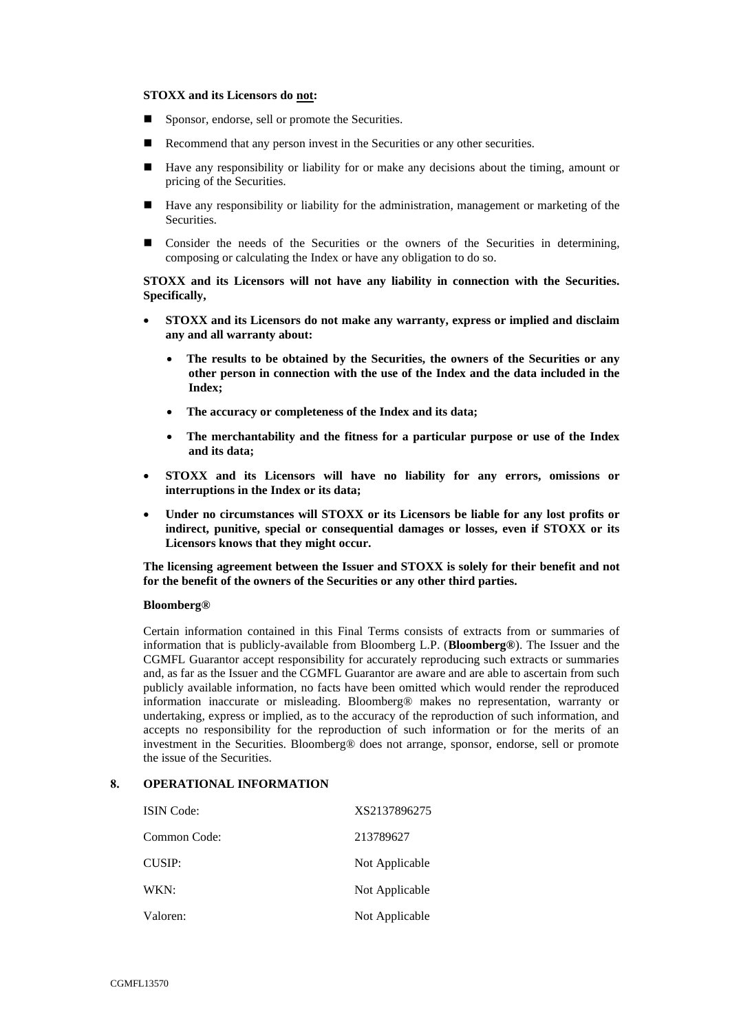### **STOXX and its Licensors do not:**

- Sponsor, endorse, sell or promote the Securities.
- Recommend that any person invest in the Securities or any other securities.
- Have any responsibility or liability for or make any decisions about the timing, amount or pricing of the Securities.
- Have any responsibility or liability for the administration, management or marketing of the **Securities**
- Consider the needs of the Securities or the owners of the Securities in determining, composing or calculating the Index or have any obligation to do so.

**STOXX and its Licensors will not have any liability in connection with the Securities. Specifically,**

- **STOXX and its Licensors do not make any warranty, express or implied and disclaim any and all warranty about:**
	- **The results to be obtained by the Securities, the owners of the Securities or any other person in connection with the use of the Index and the data included in the Index;**
	- **The accuracy or completeness of the Index and its data;**
	- **The merchantability and the fitness for a particular purpose or use of the Index and its data;**
- **STOXX and its Licensors will have no liability for any errors, omissions or interruptions in the Index or its data;**
- **Under no circumstances will STOXX or its Licensors be liable for any lost profits or indirect, punitive, special or consequential damages or losses, even if STOXX or its Licensors knows that they might occur.**

**The licensing agreement between the Issuer and STOXX is solely for their benefit and not for the benefit of the owners of the Securities or any other third parties.**

### **Bloomberg®**

Certain information contained in this Final Terms consists of extracts from or summaries of information that is publicly-available from Bloomberg L.P. (**Bloomberg®**). The Issuer and the CGMFL Guarantor accept responsibility for accurately reproducing such extracts or summaries and, as far as the Issuer and the CGMFL Guarantor are aware and are able to ascertain from such publicly available information, no facts have been omitted which would render the reproduced information inaccurate or misleading. Bloomberg® makes no representation, warranty or undertaking, express or implied, as to the accuracy of the reproduction of such information, and accepts no responsibility for the reproduction of such information or for the merits of an investment in the Securities. Bloomberg® does not arrange, sponsor, endorse, sell or promote the issue of the Securities.

# **8. OPERATIONAL INFORMATION**

| <b>ISIN</b> Code: | XS2137896275   |
|-------------------|----------------|
| Common Code:      | 213789627      |
| CUSIP:            | Not Applicable |
| WKN:              | Not Applicable |
| Valoren:          | Not Applicable |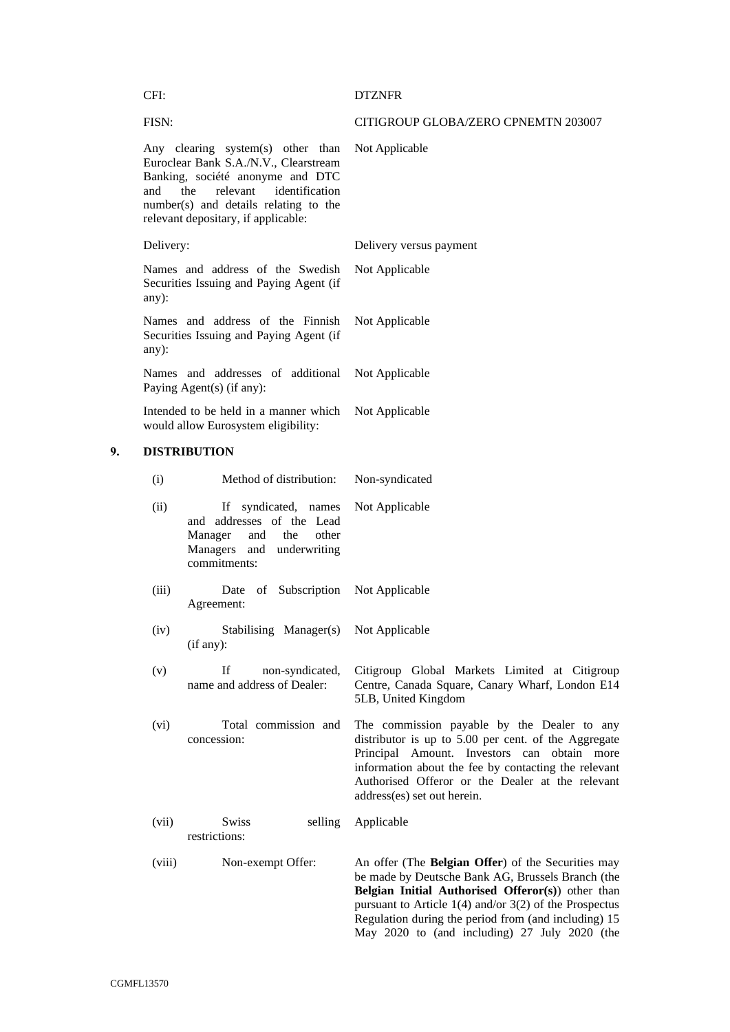| CFI:                                                                                 |                                                                                                                                                                                                                                     | <b>DTZNFR</b>                                                                                                                                                                                                                                                                                                                       |  |  |
|--------------------------------------------------------------------------------------|-------------------------------------------------------------------------------------------------------------------------------------------------------------------------------------------------------------------------------------|-------------------------------------------------------------------------------------------------------------------------------------------------------------------------------------------------------------------------------------------------------------------------------------------------------------------------------------|--|--|
| FISN:                                                                                |                                                                                                                                                                                                                                     | CITIGROUP GLOBA/ZERO CPNEMTN 203007                                                                                                                                                                                                                                                                                                 |  |  |
| and                                                                                  | Any clearing system(s) other than<br>Euroclear Bank S.A./N.V., Clearstream<br>Banking, société anonyme and DTC<br>the<br>relevant<br>identification<br>number(s) and details relating to the<br>relevant depositary, if applicable: | Not Applicable                                                                                                                                                                                                                                                                                                                      |  |  |
| Delivery:                                                                            |                                                                                                                                                                                                                                     | Delivery versus payment                                                                                                                                                                                                                                                                                                             |  |  |
| Names and address of the Swedish<br>Securities Issuing and Paying Agent (if<br>any): |                                                                                                                                                                                                                                     | Not Applicable                                                                                                                                                                                                                                                                                                                      |  |  |
| any):                                                                                | Names and address of the Finnish<br>Securities Issuing and Paying Agent (if                                                                                                                                                         | Not Applicable                                                                                                                                                                                                                                                                                                                      |  |  |
|                                                                                      | Names and addresses of additional<br>Paying Agent(s) (if any):                                                                                                                                                                      | Not Applicable                                                                                                                                                                                                                                                                                                                      |  |  |
|                                                                                      | Intended to be held in a manner which<br>would allow Eurosystem eligibility:                                                                                                                                                        | Not Applicable                                                                                                                                                                                                                                                                                                                      |  |  |
|                                                                                      | <b>DISTRIBUTION</b>                                                                                                                                                                                                                 |                                                                                                                                                                                                                                                                                                                                     |  |  |
| (i)                                                                                  | Method of distribution:                                                                                                                                                                                                             | Non-syndicated                                                                                                                                                                                                                                                                                                                      |  |  |
| (ii)                                                                                 | If<br>syndicated, names<br>and addresses of the Lead<br>Manager<br>and<br>the<br>other<br>Managers and underwriting<br>commitments:                                                                                                 | Not Applicable                                                                                                                                                                                                                                                                                                                      |  |  |
| (iii)                                                                                | of Subscription Not Applicable<br>Date<br>Agreement:                                                                                                                                                                                |                                                                                                                                                                                                                                                                                                                                     |  |  |
| (iv)                                                                                 | Stabilising Manager(s) Not Applicable<br>(if any):                                                                                                                                                                                  |                                                                                                                                                                                                                                                                                                                                     |  |  |
| (v)                                                                                  | If<br>non-syndicated,<br>name and address of Dealer:                                                                                                                                                                                | Citigroup Global Markets Limited at Citigroup<br>Centre, Canada Square, Canary Wharf, London E14<br>5LB, United Kingdom                                                                                                                                                                                                             |  |  |
| (vi)                                                                                 | Total commission and<br>concession:                                                                                                                                                                                                 | The commission payable by the Dealer to any<br>distributor is up to 5.00 per cent. of the Aggregate<br>Principal Amount. Investors can obtain more<br>information about the fee by contacting the relevant<br>Authorised Offeror or the Dealer at the relevant<br>address(es) set out herein.                                       |  |  |
| (vii)                                                                                | <b>Swiss</b><br>selling<br>restrictions:                                                                                                                                                                                            | Applicable                                                                                                                                                                                                                                                                                                                          |  |  |
| (viii)                                                                               | Non-exempt Offer:                                                                                                                                                                                                                   | An offer (The Belgian Offer) of the Securities may<br>be made by Deutsche Bank AG, Brussels Branch (the<br>Belgian Initial Authorised Offeror(s)) other than<br>pursuant to Article $1(4)$ and/or $3(2)$ of the Prospectus<br>Regulation during the period from (and including) 15<br>May 2020 to (and including) 27 July 2020 (the |  |  |

**9. DISTRIBUTION**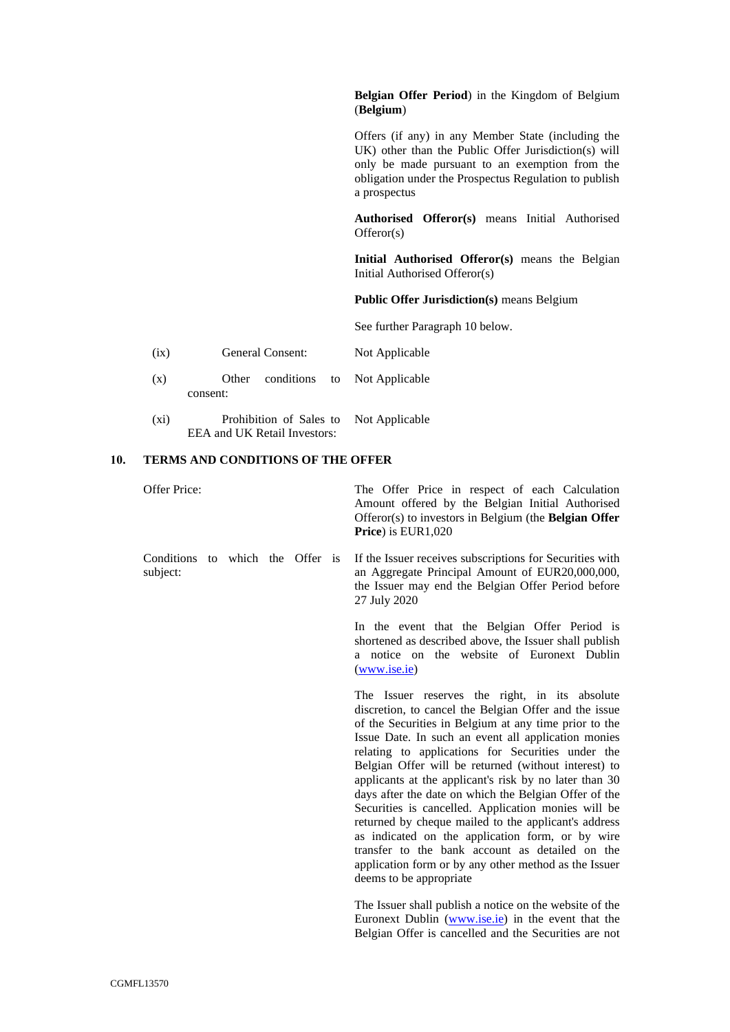## **Belgian Offer Period**) in the Kingdom of Belgium (**Belgium**)

Offers (if any) in any Member State (including the UK) other than the Public Offer Jurisdiction(s) will only be made pursuant to an exemption from the obligation under the Prospectus Regulation to publish a prospectus

**Authorised Offeror(s)** means Initial Authorised Offeror(s)

**Initial Authorised Offeror(s)** means the Belgian Initial Authorised Offeror(s)

**Public Offer Jurisdiction(s)** means Belgium

See further Paragraph 10 below.

- (ix) General Consent: Not Applicable
- (x) Other conditions to consent: Not Applicable
- (xi) Prohibition of Sales to EEA and UK Retail Investors: Not Applicable

#### **10. TERMS AND CONDITIONS OF THE OFFER**

Offer Price: The Offer Price in respect of each Calculation

Amount offered by the Belgian Initial Authorised Offeror(s) to investors in Belgium (the **Belgian Offer Price**) is EUR1,020

Conditions to which the Offer is If the Issuer receives subscriptions for Securities with subject: an Aggregate Principal Amount of EUR20,000,000, the Issuer may end the Belgian Offer Period before 27 July 2020

> In the event that the Belgian Offer Period is shortened as described above, the Issuer shall publish a notice on the website of Euronext Dublin [\(www.ise.ie\)](http://www.ise.ie/)

> The Issuer reserves the right, in its absolute discretion, to cancel the Belgian Offer and the issue of the Securities in Belgium at any time prior to the Issue Date. In such an event all application monies relating to applications for Securities under the Belgian Offer will be returned (without interest) to applicants at the applicant's risk by no later than 30 days after the date on which the Belgian Offer of the Securities is cancelled. Application monies will be returned by cheque mailed to the applicant's address as indicated on the application form, or by wire transfer to the bank account as detailed on the application form or by any other method as the Issuer deems to be appropriate

> The Issuer shall publish a notice on the website of the Euronext Dublin [\(www.ise.ie\)](http://www.ise.ie/) in the event that the Belgian Offer is cancelled and the Securities are not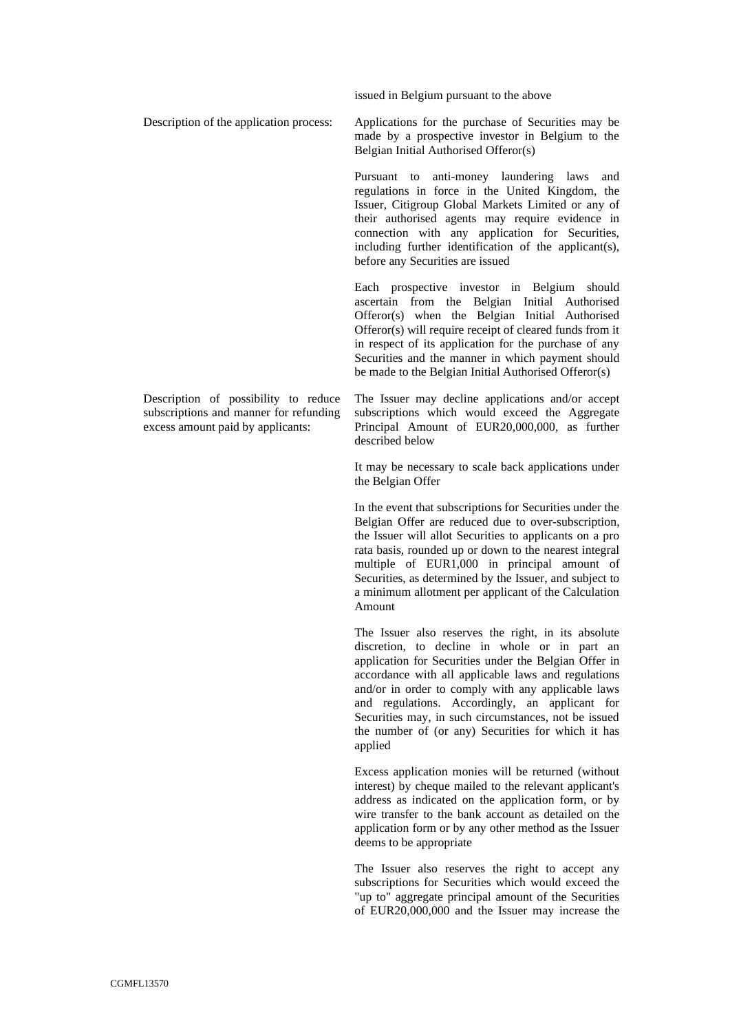issued in Belgium pursuant to the above

Description of the application process: Applications for the purchase of Securities may be made by a prospective investor in Belgium to the Belgian Initial Authorised Offeror(s)

> Pursuant to anti-money laundering laws and regulations in force in the United Kingdom, the Issuer, Citigroup Global Markets Limited or any of their authorised agents may require evidence in connection with any application for Securities, including further identification of the applicant(s), before any Securities are issued

> Each prospective investor in Belgium should ascertain from the Belgian Initial Authorised Offeror(s) when the Belgian Initial Authorised Offeror(s) will require receipt of cleared funds from it in respect of its application for the purchase of any Securities and the manner in which payment should be made to the Belgian Initial Authorised Offeror(s)

Description of possibility to reduce subscriptions and manner for refunding excess amount paid by applicants:

The Issuer may decline applications and/or accept subscriptions which would exceed the Aggregate Principal Amount of EUR20,000,000, as further described below

It may be necessary to scale back applications under the Belgian Offer

In the event that subscriptions for Securities under the Belgian Offer are reduced due to over-subscription, the Issuer will allot Securities to applicants on a pro rata basis, rounded up or down to the nearest integral multiple of EUR1,000 in principal amount of Securities, as determined by the Issuer, and subject to a minimum allotment per applicant of the Calculation Amount

The Issuer also reserves the right, in its absolute discretion, to decline in whole or in part an application for Securities under the Belgian Offer in accordance with all applicable laws and regulations and/or in order to comply with any applicable laws and regulations. Accordingly, an applicant for Securities may, in such circumstances, not be issued the number of (or any) Securities for which it has applied

Excess application monies will be returned (without interest) by cheque mailed to the relevant applicant's address as indicated on the application form, or by wire transfer to the bank account as detailed on the application form or by any other method as the Issuer deems to be appropriate

The Issuer also reserves the right to accept any subscriptions for Securities which would exceed the "up to" aggregate principal amount of the Securities of EUR20,000,000 and the Issuer may increase the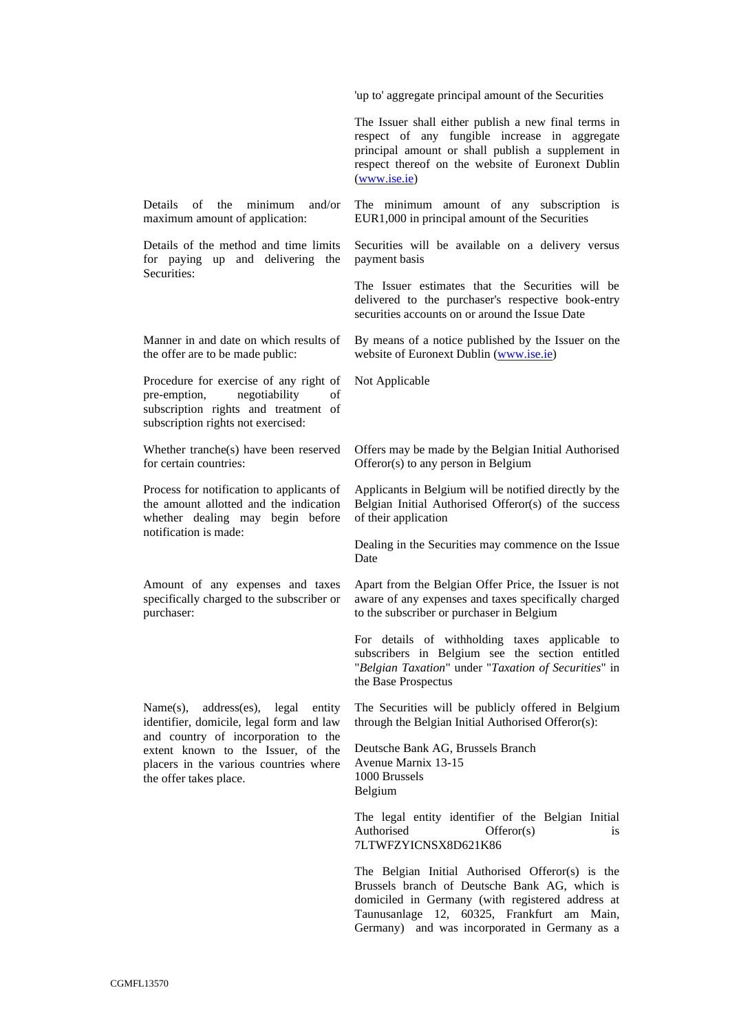'up to' aggregate principal amount of the Securities

The Issuer shall either publish a new final terms in respect of any fungible increase in aggregate principal amount or shall publish a supplement in respect thereof on the website of Euronext Dublin [\(www.ise.ie\)](http://www.ise.ie/)

Details of the minimum and/or maximum amount of application:

Details of the method and time limits for paying up and delivering the Securities:

Manner in and date on which results of the offer are to be made public:

Procedure for exercise of any right of pre-emption, negotiability of subscription rights and treatment of subscription rights not exercised:

Whether tranche(s) have been reserved for certain countries:

Process for notification to applicants of the amount allotted and the indication whether dealing may begin before notification is made:

Amount of any expenses and taxes specifically charged to the subscriber or purchaser:

Name(s), address(es), legal entity identifier, domicile, legal form and law and country of incorporation to the extent known to the Issuer, of the placers in the various countries where the offer takes place.

The minimum amount of any subscription is EUR1,000 in principal amount of the Securities

Securities will be available on a delivery versus payment basis

The Issuer estimates that the Securities will be delivered to the purchaser's respective book-entry securities accounts on or around the Issue Date

By means of a notice published by the Issuer on the website of Euronext Dublin [\(www.ise.ie\)](http://www.ise.ie/)

Not Applicable

Offers may be made by the Belgian Initial Authorised Offeror(s) to any person in Belgium

Applicants in Belgium will be notified directly by the Belgian Initial Authorised Offeror(s) of the success of their application

Dealing in the Securities may commence on the Issue Date

Apart from the Belgian Offer Price, the Issuer is not aware of any expenses and taxes specifically charged to the subscriber or purchaser in Belgium

For details of withholding taxes applicable to subscribers in Belgium see the section entitled "*Belgian Taxation*" under "*Taxation of Securities*" in the Base Prospectus

The Securities will be publicly offered in Belgium through the Belgian Initial Authorised Offeror(s):

Deutsche Bank AG, Brussels Branch Avenue Marnix 13-15 1000 Brussels Belgium

The legal entity identifier of the Belgian Initial Authorised Offeror(s) is 7LTWFZYICNSX8D621K86

The Belgian Initial Authorised Offeror(s) is the Brussels branch of Deutsche Bank AG, which is domiciled in Germany (with registered address at Taunusanlage 12, 60325, Frankfurt am Main, Germany) and was incorporated in Germany as a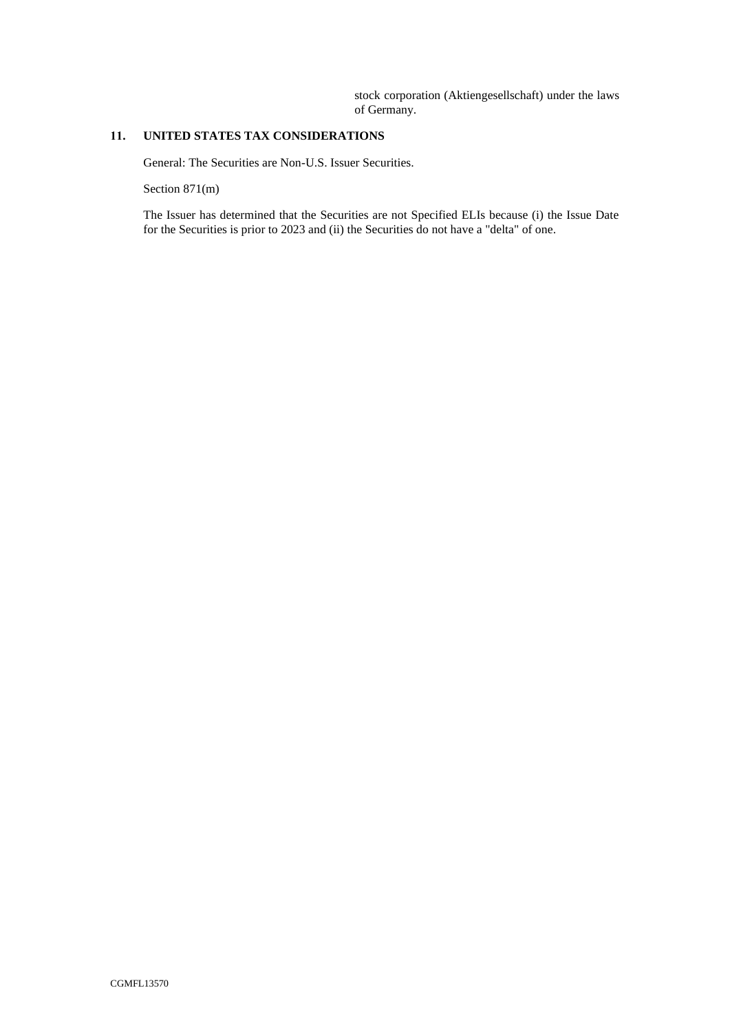stock corporation (Aktiengesellschaft) under the laws of Germany.

# **11. UNITED STATES TAX CONSIDERATIONS**

General: The Securities are Non-U.S. Issuer Securities.

Section 871(m)

The Issuer has determined that the Securities are not Specified ELIs because (i) the Issue Date for the Securities is prior to 2023 and (ii) the Securities do not have a "delta" of one.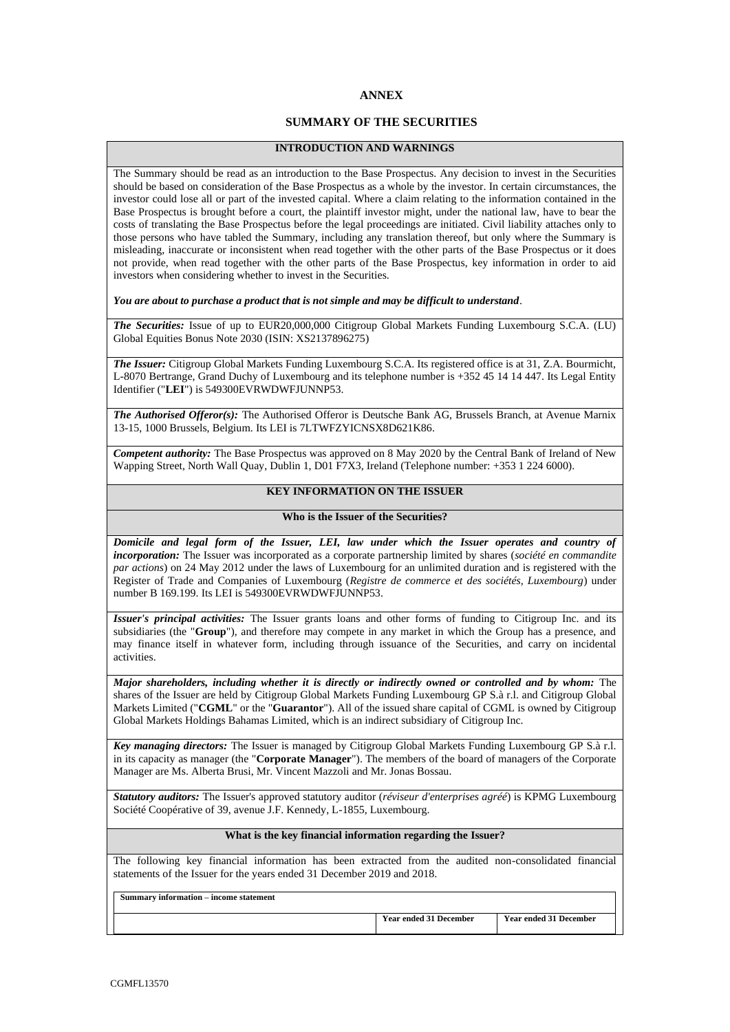# **ANNEX**

# **SUMMARY OF THE SECURITIES**

### **INTRODUCTION AND WARNINGS**

The Summary should be read as an introduction to the Base Prospectus. Any decision to invest in the Securities should be based on consideration of the Base Prospectus as a whole by the investor. In certain circumstances, the investor could lose all or part of the invested capital. Where a claim relating to the information contained in the Base Prospectus is brought before a court, the plaintiff investor might, under the national law, have to bear the costs of translating the Base Prospectus before the legal proceedings are initiated. Civil liability attaches only to those persons who have tabled the Summary, including any translation thereof, but only where the Summary is misleading, inaccurate or inconsistent when read together with the other parts of the Base Prospectus or it does not provide, when read together with the other parts of the Base Prospectus, key information in order to aid investors when considering whether to invest in the Securities.

*You are about to purchase a product that is not simple and may be difficult to understand*.

*The Securities:* Issue of up to EUR20,000,000 Citigroup Global Markets Funding Luxembourg S.C.A. (LU) Global Equities Bonus Note 2030 (ISIN: XS2137896275)

*The Issuer:* Citigroup Global Markets Funding Luxembourg S.C.A. Its registered office is at 31, Z.A. Bourmicht, L-8070 Bertrange, Grand Duchy of Luxembourg and its telephone number is +352 45 14 14 447. Its Legal Entity Identifier ("**LEI**") is 549300EVRWDWFJUNNP53.

*The Authorised Offeror(s):* The Authorised Offeror is Deutsche Bank AG, Brussels Branch, at Avenue Marnix 13-15, 1000 Brussels, Belgium. Its LEI is 7LTWFZYICNSX8D621K86.

*Competent authority:* The Base Prospectus was approved on 8 May 2020 by the Central Bank of Ireland of New Wapping Street, North Wall Quay, Dublin 1, D01 F7X3, Ireland (Telephone number: +353 1 224 6000).

# **KEY INFORMATION ON THE ISSUER**

### **Who is the Issuer of the Securities?**

*Domicile and legal form of the Issuer, LEI, law under which the Issuer operates and country of incorporation:* The Issuer was incorporated as a corporate partnership limited by shares (*société en commandite par actions*) on 24 May 2012 under the laws of Luxembourg for an unlimited duration and is registered with the Register of Trade and Companies of Luxembourg (*Registre de commerce et des sociétés, Luxembourg*) under number B 169.199. Its LEI is 549300EVRWDWFJUNNP53.

*Issuer's principal activities:* The Issuer grants loans and other forms of funding to Citigroup Inc. and its subsidiaries (the "**Group**"), and therefore may compete in any market in which the Group has a presence, and may finance itself in whatever form, including through issuance of the Securities, and carry on incidental activities.

*Major shareholders, including whether it is directly or indirectly owned or controlled and by whom: The* shares of the Issuer are held by Citigroup Global Markets Funding Luxembourg GP S.à r.l. and Citigroup Global Markets Limited ("**CGML**" or the "**Guarantor**"). All of the issued share capital of CGML is owned by Citigroup Global Markets Holdings Bahamas Limited, which is an indirect subsidiary of Citigroup Inc.

*Key managing directors:* The Issuer is managed by Citigroup Global Markets Funding Luxembourg GP S.à r.l. in its capacity as manager (the "**Corporate Manager**"). The members of the board of managers of the Corporate Manager are Ms. Alberta Brusi, Mr. Vincent Mazzoli and Mr. Jonas Bossau.

*Statutory auditors:* The Issuer's approved statutory auditor (*réviseur d'enterprises agréé*) is KPMG Luxembourg Société Coopérative of 39, avenue J.F. Kennedy, L-1855, Luxembourg.

### **What is the key financial information regarding the Issuer?**

The following key financial information has been extracted from the audited non-consolidated financial statements of the Issuer for the years ended 31 December 2019 and 2018.

**Summary information – income statement Year ended 31 December Year ended 31 December**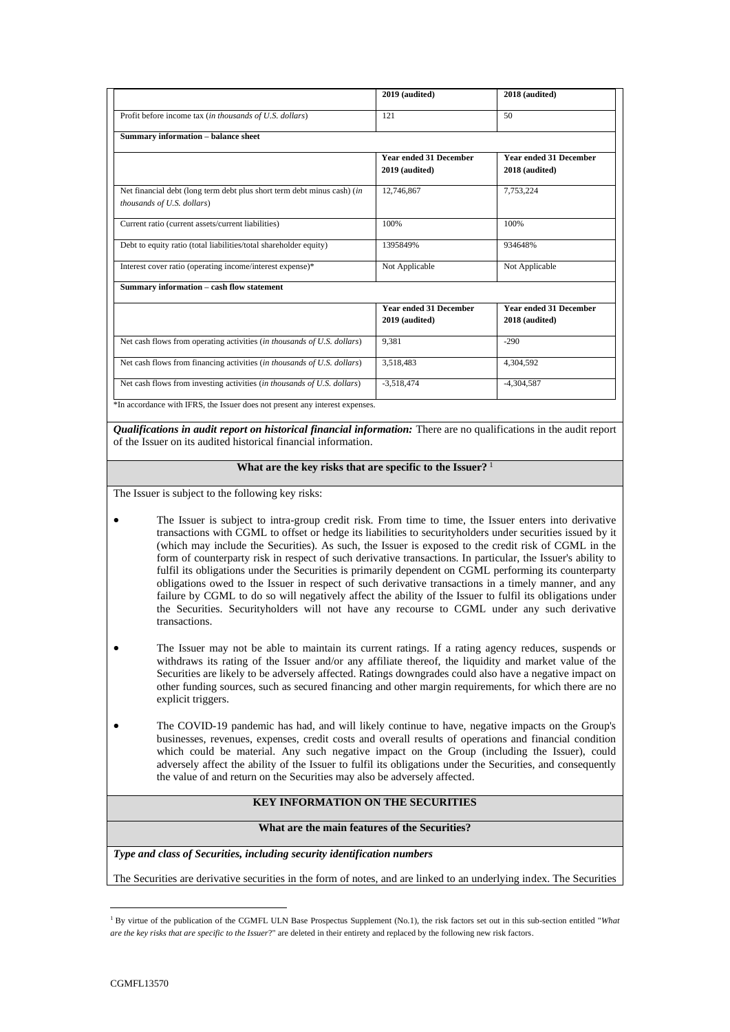|                                                                                                                                                    | 2019 (audited)                                  | 2018 (audited)                                  |
|----------------------------------------------------------------------------------------------------------------------------------------------------|-------------------------------------------------|-------------------------------------------------|
| Profit before income tax (in thousands of U.S. dollars)                                                                                            | 121                                             | 50                                              |
| <b>Summary information - balance sheet</b>                                                                                                         |                                                 |                                                 |
|                                                                                                                                                    | <b>Year ended 31 December</b>                   | <b>Year ended 31 December</b>                   |
|                                                                                                                                                    | 2019 (audited)                                  | 2018 (audited)                                  |
| Net financial debt (long term debt plus short term debt minus cash) (in<br>thousands of U.S. dollars)                                              | 12,746,867                                      | 7,753,224                                       |
| Current ratio (current assets/current liabilities)                                                                                                 | 100%                                            | 100%                                            |
| Debt to equity ratio (total liabilities/total shareholder equity)                                                                                  | 1395849%                                        | 934648%                                         |
| Interest cover ratio (operating income/interest expense)*                                                                                          | Not Applicable                                  | Not Applicable                                  |
| Summary information - cash flow statement                                                                                                          |                                                 |                                                 |
|                                                                                                                                                    | <b>Year ended 31 December</b><br>2019 (audited) | <b>Year ended 31 December</b><br>2018 (audited) |
|                                                                                                                                                    | 9.381                                           | $-290$                                          |
|                                                                                                                                                    |                                                 |                                                 |
| Net cash flows from operating activities (in thousands of U.S. dollars)<br>Net cash flows from financing activities (in thousands of U.S. dollars) | 3,518,483                                       | 4,304,592                                       |

*Qualifications in audit report on historical financial information:* There are no qualifications in the audit report of the Issuer on its audited historical financial information.

#### **What are the key risks that are specific to the Issuer?** <sup>1</sup>

The Issuer is subject to the following key risks:

- The Issuer is subject to intra-group credit risk. From time to time, the Issuer enters into derivative transactions with CGML to offset or hedge its liabilities to securityholders under securities issued by it (which may include the Securities). As such, the Issuer is exposed to the credit risk of CGML in the form of counterparty risk in respect of such derivative transactions. In particular, the Issuer's ability to fulfil its obligations under the Securities is primarily dependent on CGML performing its counterparty obligations owed to the Issuer in respect of such derivative transactions in a timely manner, and any failure by CGML to do so will negatively affect the ability of the Issuer to fulfil its obligations under the Securities. Securityholders will not have any recourse to CGML under any such derivative transactions.
- The Issuer may not be able to maintain its current ratings. If a rating agency reduces, suspends or withdraws its rating of the Issuer and/or any affiliate thereof, the liquidity and market value of the Securities are likely to be adversely affected. Ratings downgrades could also have a negative impact on other funding sources, such as secured financing and other margin requirements, for which there are no explicit triggers.
- The COVID-19 pandemic has had, and will likely continue to have, negative impacts on the Group's businesses, revenues, expenses, credit costs and overall results of operations and financial condition which could be material. Any such negative impact on the Group (including the Issuer), could adversely affect the ability of the Issuer to fulfil its obligations under the Securities, and consequently the value of and return on the Securities may also be adversely affected.

## **KEY INFORMATION ON THE SECURITIES**

#### **What are the main features of the Securities?**

*Type and class of Securities, including security identification numbers*

The Securities are derivative securities in the form of notes, and are linked to an underlying index. The Securities

<sup>&</sup>lt;sup>1</sup> By virtue of the publication of the CGMFL ULN Base Prospectus Supplement (No.1), the risk factors set out in this sub-section entitled "What *are the key risks that are specific to the Issuer*?" are deleted in their entirety and replaced by the following new risk factors.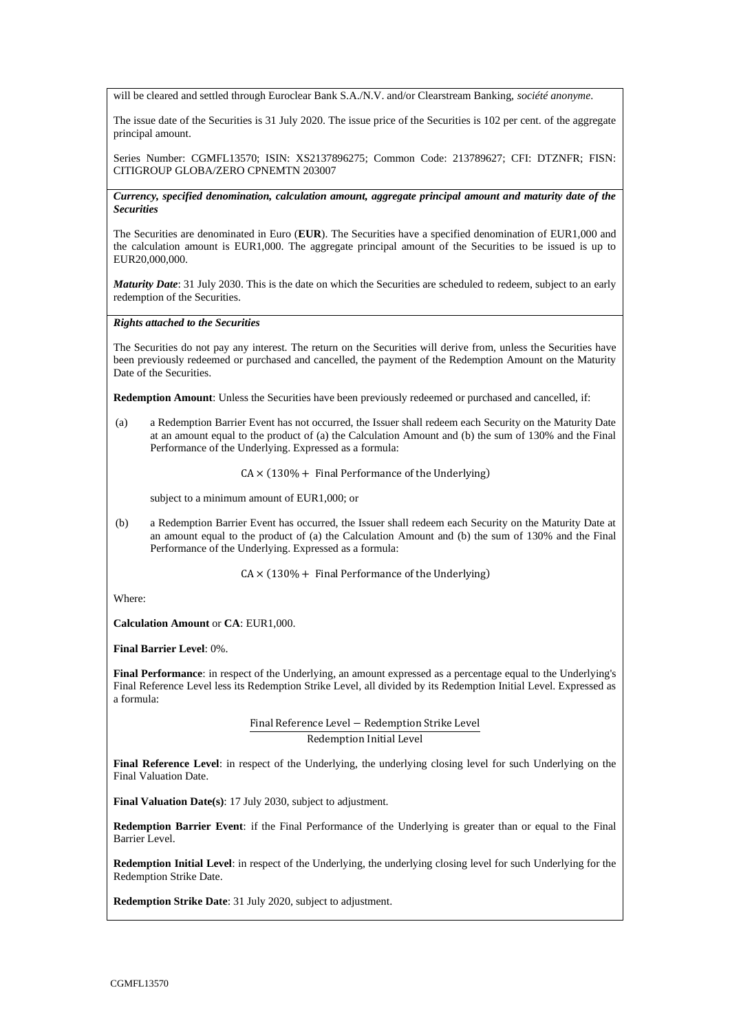will be cleared and settled through Euroclear Bank S.A./N.V. and/or Clearstream Banking, *société anonyme*.

The issue date of the Securities is 31 July 2020. The issue price of the Securities is 102 per cent. of the aggregate principal amount.

Series Number: CGMFL13570; ISIN: XS2137896275; Common Code: 213789627; CFI: DTZNFR; FISN: CITIGROUP GLOBA/ZERO CPNEMTN 203007

*Currency, specified denomination, calculation amount, aggregate principal amount and maturity date of the Securities*

The Securities are denominated in Euro (**EUR**). The Securities have a specified denomination of EUR1,000 and the calculation amount is EUR1,000. The aggregate principal amount of the Securities to be issued is up to EUR20,000,000

*Maturity Date*: 31 July 2030. This is the date on which the Securities are scheduled to redeem, subject to an early redemption of the Securities.

#### *Rights attached to the Securities*

The Securities do not pay any interest. The return on the Securities will derive from, unless the Securities have been previously redeemed or purchased and cancelled, the payment of the Redemption Amount on the Maturity Date of the Securities.

**Redemption Amount**: Unless the Securities have been previously redeemed or purchased and cancelled, if:

(a) a Redemption Barrier Event has not occurred, the Issuer shall redeem each Security on the Maturity Date at an amount equal to the product of (a) the Calculation Amount and (b) the sum of 130% and the Final Performance of the Underlying. Expressed as a formula:

 $CA \times (130\% +$  Final Performance of the Underlying)

subject to a minimum amount of EUR1,000; or

(b) a Redemption Barrier Event has occurred, the Issuer shall redeem each Security on the Maturity Date at an amount equal to the product of (a) the Calculation Amount and (b) the sum of 130% and the Final Performance of the Underlying. Expressed as a formula:

 $CA \times (130\% +$  Final Performance of the Underlying)

Where:

**Calculation Amount** or **CA**: EUR1,000.

**Final Barrier Level**: 0%.

**Final Performance**: in respect of the Underlying, an amount expressed as a percentage equal to the Underlying's Final Reference Level less its Redemption Strike Level, all divided by its Redemption Initial Level. Expressed as a formula:

> Final Reference Level − Redemption Strike Level Redemption Initial Level

**Final Reference Level**: in respect of the Underlying, the underlying closing level for such Underlying on the Final Valuation Date.

**Final Valuation Date(s)**: 17 July 2030, subject to adjustment.

**Redemption Barrier Event**: if the Final Performance of the Underlying is greater than or equal to the Final Barrier Level.

**Redemption Initial Level**: in respect of the Underlying, the underlying closing level for such Underlying for the Redemption Strike Date.

**Redemption Strike Date**: 31 July 2020, subject to adjustment.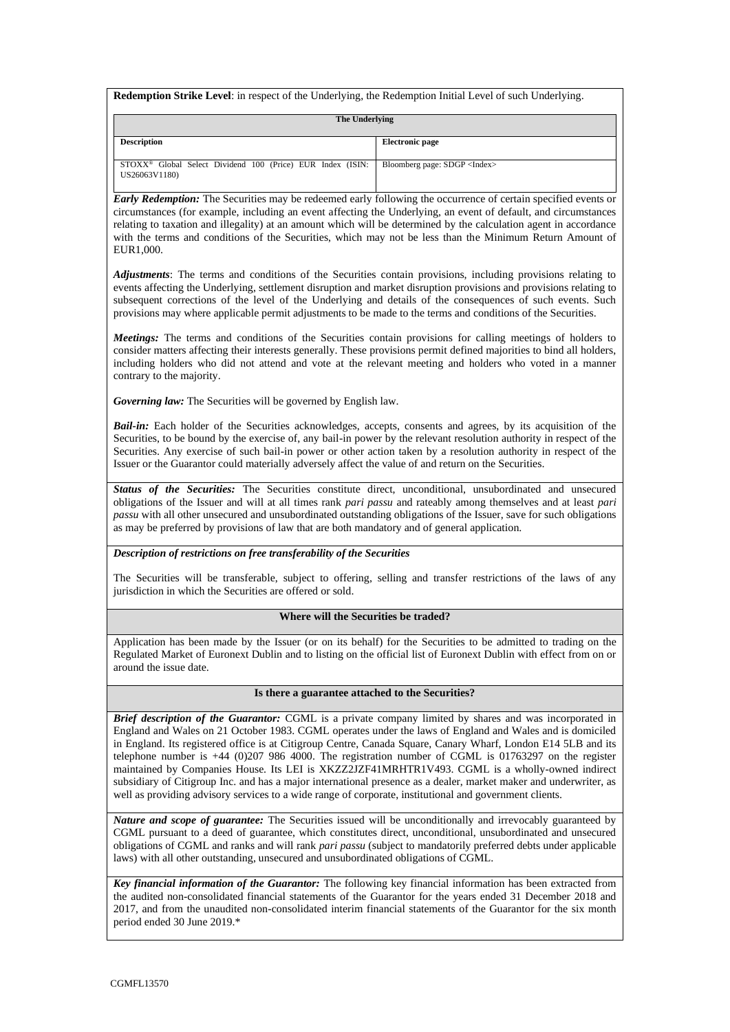**Redemption Strike Level**: in respect of the Underlying, the Redemption Initial Level of such Underlying.

| The Underlying                                                                          |                                      |  |  |
|-----------------------------------------------------------------------------------------|--------------------------------------|--|--|
| <b>Description</b>                                                                      | <b>Electronic page</b>               |  |  |
| STOXX <sup>®</sup> Global Select Dividend 100 (Price) EUR Index (ISIN:<br>US26063V1180) | Bloomberg page: SDGP <index></index> |  |  |

*Early Redemption:* The Securities may be redeemed early following the occurrence of certain specified events or circumstances (for example, including an event affecting the Underlying, an event of default, and circumstances relating to taxation and illegality) at an amount which will be determined by the calculation agent in accordance with the terms and conditions of the Securities, which may not be less than the Minimum Return Amount of EUR1,000.

*Adjustments*: The terms and conditions of the Securities contain provisions, including provisions relating to events affecting the Underlying, settlement disruption and market disruption provisions and provisions relating to subsequent corrections of the level of the Underlying and details of the consequences of such events. Such provisions may where applicable permit adjustments to be made to the terms and conditions of the Securities.

*Meetings:* The terms and conditions of the Securities contain provisions for calling meetings of holders to consider matters affecting their interests generally. These provisions permit defined majorities to bind all holders, including holders who did not attend and vote at the relevant meeting and holders who voted in a manner contrary to the majority.

*Governing law:* The Securities will be governed by English law.

*Bail-in:* Each holder of the Securities acknowledges, accepts, consents and agrees, by its acquisition of the Securities, to be bound by the exercise of, any bail-in power by the relevant resolution authority in respect of the Securities. Any exercise of such bail-in power or other action taken by a resolution authority in respect of the Issuer or the Guarantor could materially adversely affect the value of and return on the Securities.

Status of the Securities: The Securities constitute direct, unconditional, unsubordinated and unsecured obligations of the Issuer and will at all times rank *pari passu* and rateably among themselves and at least *pari passu* with all other unsecured and unsubordinated outstanding obligations of the Issuer, save for such obligations as may be preferred by provisions of law that are both mandatory and of general application.

### *Description of restrictions on free transferability of the Securities*

The Securities will be transferable, subject to offering, selling and transfer restrictions of the laws of any jurisdiction in which the Securities are offered or sold.

## **Where will the Securities be traded?**

Application has been made by the Issuer (or on its behalf) for the Securities to be admitted to trading on the Regulated Market of Euronext Dublin and to listing on the official list of Euronext Dublin with effect from on or around the issue date.

### **Is there a guarantee attached to the Securities?**

*Brief description of the Guarantor:* CGML is a private company limited by shares and was incorporated in England and Wales on 21 October 1983. CGML operates under the laws of England and Wales and is domiciled in England. Its registered office is at Citigroup Centre, Canada Square, Canary Wharf, London E14 5LB and its telephone number is +44 (0)207 986 4000. The registration number of CGML is 01763297 on the register maintained by Companies House. Its LEI is XKZZ2JZF41MRHTR1V493. CGML is a wholly-owned indirect subsidiary of Citigroup Inc. and has a major international presence as a dealer, market maker and underwriter, as well as providing advisory services to a wide range of corporate, institutional and government clients.

*Nature and scope of guarantee:* The Securities issued will be unconditionally and irrevocably guaranteed by CGML pursuant to a deed of guarantee, which constitutes direct, unconditional, unsubordinated and unsecured obligations of CGML and ranks and will rank *pari passu* (subject to mandatorily preferred debts under applicable laws) with all other outstanding, unsecured and unsubordinated obligations of CGML.

*Key financial information of the Guarantor:* The following key financial information has been extracted from the audited non-consolidated financial statements of the Guarantor for the years ended 31 December 2018 and 2017, and from the unaudited non-consolidated interim financial statements of the Guarantor for the six month period ended 30 June 2019.\*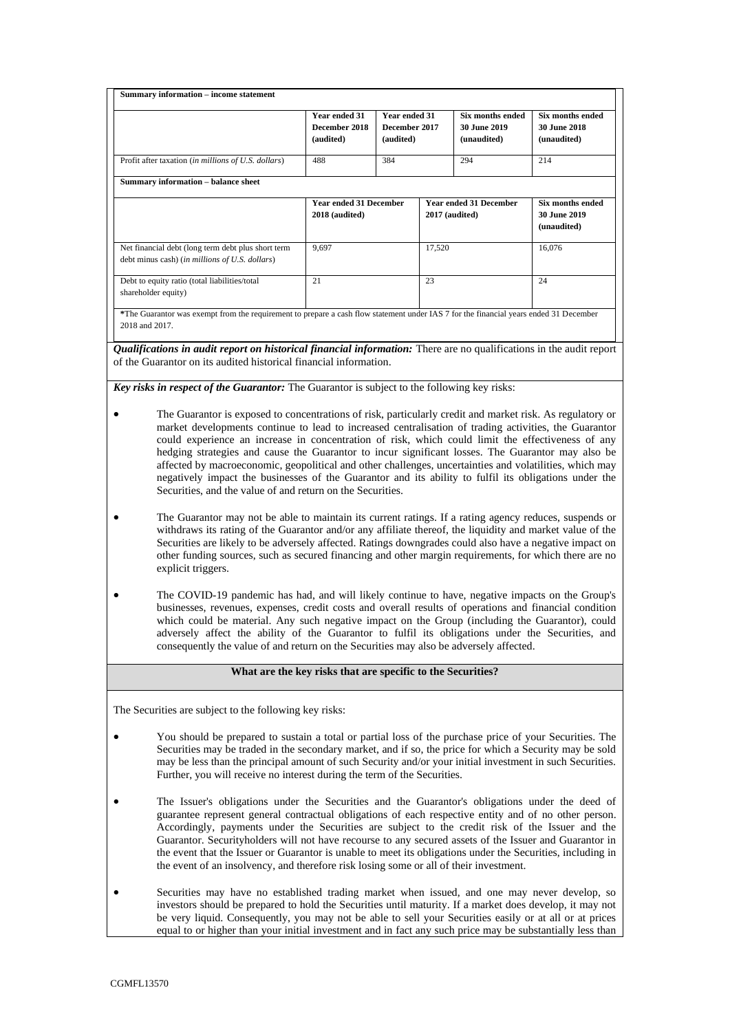| Summary information - income statement                                                                                                                  | Year ended 31<br>December 2018<br>(audited)     | Year ended 31<br>December 2017<br>(audited) |                  | <b>Six months ended</b><br><b>30 June 2019</b><br>(unaudited) | Six months ended<br><b>30 June 2018</b><br>(unaudited)        |
|---------------------------------------------------------------------------------------------------------------------------------------------------------|-------------------------------------------------|---------------------------------------------|------------------|---------------------------------------------------------------|---------------------------------------------------------------|
| Profit after taxation (in millions of U.S. dollars)                                                                                                     | 488                                             | 384                                         |                  | 294                                                           | 214                                                           |
| <b>Summary information - balance sheet</b>                                                                                                              |                                                 |                                             |                  |                                                               |                                                               |
|                                                                                                                                                         | <b>Year ended 31 December</b><br>2018 (audited) |                                             | $2017$ (audited) | <b>Year ended 31 December</b>                                 | <b>Six months ended</b><br><b>30 June 2019</b><br>(unaudited) |
| Net financial debt (long term debt plus short term<br>debt minus cash) (in millions of U.S. dollars)                                                    | 9,697                                           |                                             | 17,520           |                                                               | 16,076                                                        |
| Debt to equity ratio (total liabilities/total<br>shareholder equity)                                                                                    | 21                                              |                                             | 23               |                                                               | 24                                                            |
| *The Guarantor was exempt from the requirement to prepare a cash flow statement under IAS 7 for the financial years ended 31 December<br>2018 and 2017. |                                                 |                                             |                  |                                                               |                                                               |

*Qualifications in audit report on historical financial information:* There are no qualifications in the audit report of the Guarantor on its audited historical financial information.

*Key risks in respect of the Guarantor:* The Guarantor is subject to the following key risks:

- The Guarantor is exposed to concentrations of risk, particularly credit and market risk. As regulatory or market developments continue to lead to increased centralisation of trading activities, the Guarantor could experience an increase in concentration of risk, which could limit the effectiveness of any hedging strategies and cause the Guarantor to incur significant losses. The Guarantor may also be affected by macroeconomic, geopolitical and other challenges, uncertainties and volatilities, which may negatively impact the businesses of the Guarantor and its ability to fulfil its obligations under the Securities, and the value of and return on the Securities.
- The Guarantor may not be able to maintain its current ratings. If a rating agency reduces, suspends or withdraws its rating of the Guarantor and/or any affiliate thereof, the liquidity and market value of the Securities are likely to be adversely affected. Ratings downgrades could also have a negative impact on other funding sources, such as secured financing and other margin requirements, for which there are no explicit triggers.
- The COVID-19 pandemic has had, and will likely continue to have, negative impacts on the Group's businesses, revenues, expenses, credit costs and overall results of operations and financial condition which could be material. Any such negative impact on the Group (including the Guarantor), could adversely affect the ability of the Guarantor to fulfil its obligations under the Securities, and consequently the value of and return on the Securities may also be adversely affected.

### **What are the key risks that are specific to the Securities?**

The Securities are subject to the following key risks:

- You should be prepared to sustain a total or partial loss of the purchase price of your Securities. The Securities may be traded in the secondary market, and if so, the price for which a Security may be sold may be less than the principal amount of such Security and/or your initial investment in such Securities. Further, you will receive no interest during the term of the Securities.
- The Issuer's obligations under the Securities and the Guarantor's obligations under the deed of guarantee represent general contractual obligations of each respective entity and of no other person. Accordingly, payments under the Securities are subject to the credit risk of the Issuer and the Guarantor. Securityholders will not have recourse to any secured assets of the Issuer and Guarantor in the event that the Issuer or Guarantor is unable to meet its obligations under the Securities, including in the event of an insolvency, and therefore risk losing some or all of their investment.
- Securities may have no established trading market when issued, and one may never develop, so investors should be prepared to hold the Securities until maturity. If a market does develop, it may not be very liquid. Consequently, you may not be able to sell your Securities easily or at all or at prices equal to or higher than your initial investment and in fact any such price may be substantially less than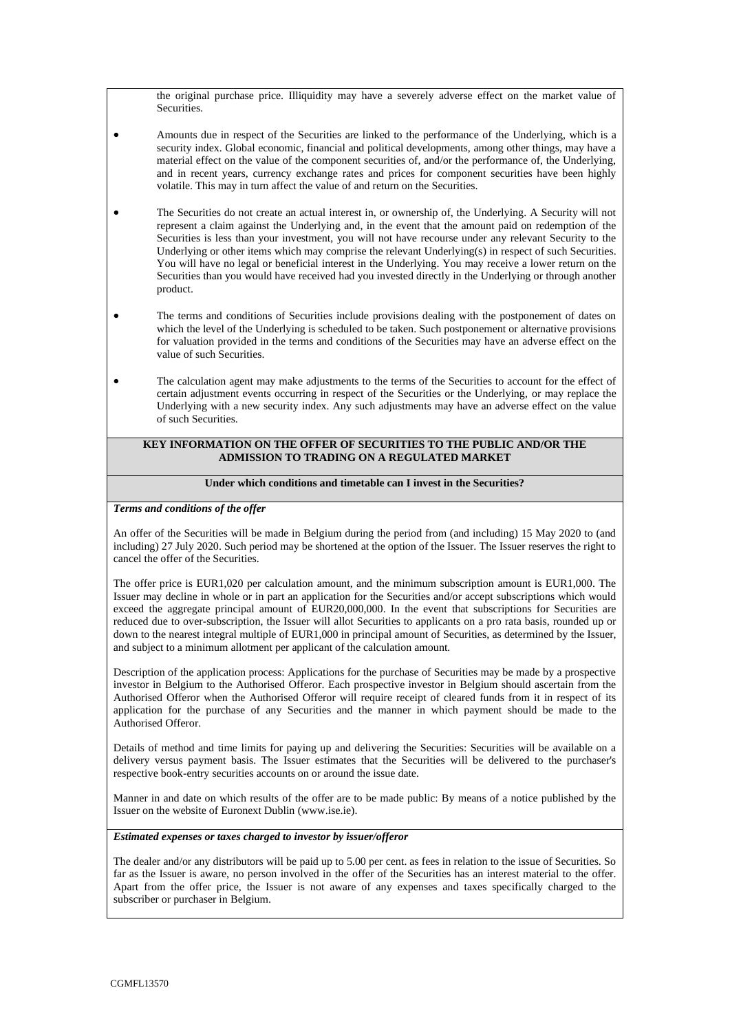the original purchase price. Illiquidity may have a severely adverse effect on the market value of **Securities** 

- Amounts due in respect of the Securities are linked to the performance of the Underlying, which is a security index. Global economic, financial and political developments, among other things, may have a material effect on the value of the component securities of, and/or the performance of, the Underlying, and in recent years, currency exchange rates and prices for component securities have been highly volatile. This may in turn affect the value of and return on the Securities.
- The Securities do not create an actual interest in, or ownership of, the Underlying. A Security will not represent a claim against the Underlying and, in the event that the amount paid on redemption of the Securities is less than your investment, you will not have recourse under any relevant Security to the Underlying or other items which may comprise the relevant Underlying(s) in respect of such Securities. You will have no legal or beneficial interest in the Underlying. You may receive a lower return on the Securities than you would have received had you invested directly in the Underlying or through another product.
- The terms and conditions of Securities include provisions dealing with the postponement of dates on which the level of the Underlying is scheduled to be taken. Such postponement or alternative provisions for valuation provided in the terms and conditions of the Securities may have an adverse effect on the value of such Securities.
- The calculation agent may make adjustments to the terms of the Securities to account for the effect of certain adjustment events occurring in respect of the Securities or the Underlying, or may replace the Underlying with a new security index. Any such adjustments may have an adverse effect on the value of such Securities.

### **KEY INFORMATION ON THE OFFER OF SECURITIES TO THE PUBLIC AND/OR THE ADMISSION TO TRADING ON A REGULATED MARKET**

## **Under which conditions and timetable can I invest in the Securities?**

### *Terms and conditions of the offer*

An offer of the Securities will be made in Belgium during the period from (and including) 15 May 2020 to (and including) 27 July 2020. Such period may be shortened at the option of the Issuer. The Issuer reserves the right to cancel the offer of the Securities.

The offer price is EUR1,020 per calculation amount, and the minimum subscription amount is EUR1,000. The Issuer may decline in whole or in part an application for the Securities and/or accept subscriptions which would exceed the aggregate principal amount of EUR20,000,000. In the event that subscriptions for Securities are reduced due to over-subscription, the Issuer will allot Securities to applicants on a pro rata basis, rounded up or down to the nearest integral multiple of EUR1,000 in principal amount of Securities, as determined by the Issuer, and subject to a minimum allotment per applicant of the calculation amount.

Description of the application process: Applications for the purchase of Securities may be made by a prospective investor in Belgium to the Authorised Offeror. Each prospective investor in Belgium should ascertain from the Authorised Offeror when the Authorised Offeror will require receipt of cleared funds from it in respect of its application for the purchase of any Securities and the manner in which payment should be made to the Authorised Offeror.

Details of method and time limits for paying up and delivering the Securities: Securities will be available on a delivery versus payment basis. The Issuer estimates that the Securities will be delivered to the purchaser's respective book-entry securities accounts on or around the issue date.

Manner in and date on which results of the offer are to be made public: By means of a notice published by the Issuer on the website of Euronext Dublin (www.ise.ie).

#### *Estimated expenses or taxes charged to investor by issuer/offeror*

The dealer and/or any distributors will be paid up to 5.00 per cent. as fees in relation to the issue of Securities. So far as the Issuer is aware, no person involved in the offer of the Securities has an interest material to the offer. Apart from the offer price, the Issuer is not aware of any expenses and taxes specifically charged to the subscriber or purchaser in Belgium.